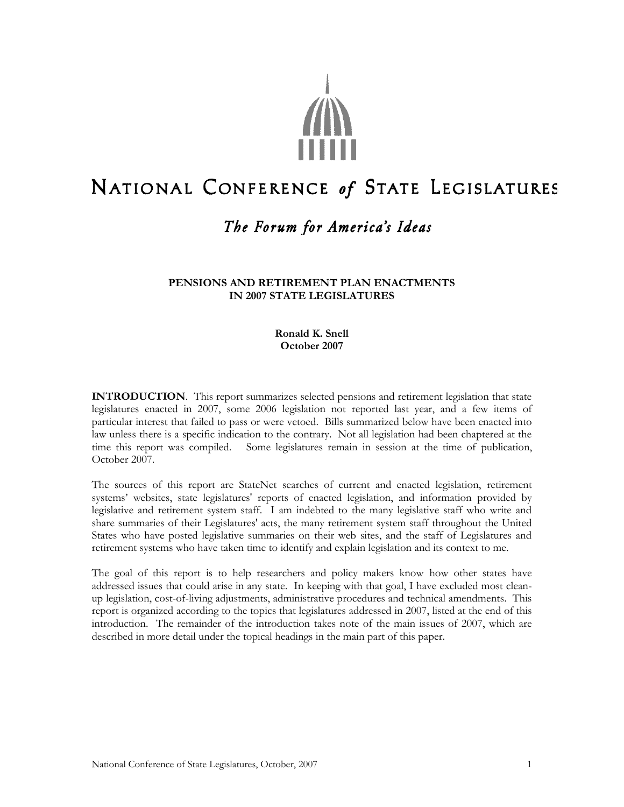

# NATIONAL CONFERENCE of STATE LEGISLATURES

# The Forum for America's Ideas

#### **PENSIONS AND RETIREMENT PLAN ENACTMENTS IN 2007 STATE LEGISLATURES**

**Ronald K. Snell October 2007**

**INTRODUCTION**. This report summarizes selected pensions and retirement legislation that state legislatures enacted in 2007, some 2006 legislation not reported last year, and a few items of particular interest that failed to pass or were vetoed. Bills summarized below have been enacted into law unless there is a specific indication to the contrary. Not all legislation had been chaptered at the time this report was compiled. Some legislatures remain in session at the time of publication, October 2007.

The sources of this report are StateNet searches of current and enacted legislation, retirement systems' websites, state legislatures' reports of enacted legislation, and information provided by legislative and retirement system staff. I am indebted to the many legislative staff who write and share summaries of their Legislatures' acts, the many retirement system staff throughout the United States who have posted legislative summaries on their web sites, and the staff of Legislatures and retirement systems who have taken time to identify and explain legislation and its context to me.

The goal of this report is to help researchers and policy makers know how other states have addressed issues that could arise in any state. In keeping with that goal, I have excluded most cleanup legislation, cost-of-living adjustments, administrative procedures and technical amendments. This report is organized according to the topics that legislatures addressed in 2007, listed at the end of this introduction. The remainder of the introduction takes note of the main issues of 2007, which are described in more detail under the topical headings in the main part of this paper.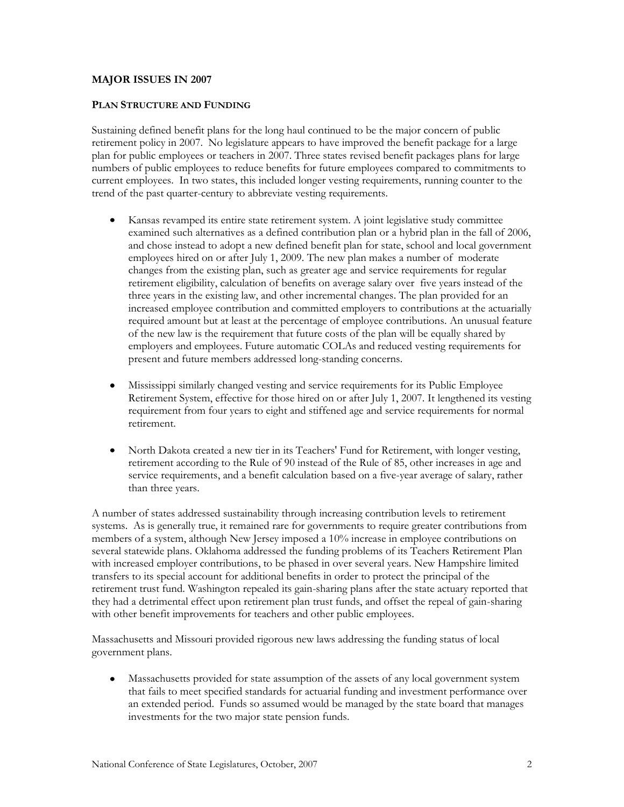#### **MAJOR ISSUES IN 2007**

#### **PLAN STRUCTURE AND FUNDING**

Sustaining defined benefit plans for the long haul continued to be the major concern of public retirement policy in 2007. No legislature appears to have improved the benefit package for a large plan for public employees or teachers in 2007. Three states revised benefit packages plans for large numbers of public employees to reduce benefits for future employees compared to commitments to current employees. In two states, this included longer vesting requirements, running counter to the trend of the past quarter-century to abbreviate vesting requirements.

- Kansas revamped its entire state retirement system. A joint legislative study committee  $\bullet$ examined such alternatives as a defined contribution plan or a hybrid plan in the fall of 2006, and chose instead to adopt a new defined benefit plan for state, school and local government employees hired on or after July 1, 2009. The new plan makes a number of moderate changes from the existing plan, such as greater age and service requirements for regular retirement eligibility, calculation of benefits on average salary over five years instead of the three years in the existing law, and other incremental changes. The plan provided for an increased employee contribution and committed employers to contributions at the actuarially required amount but at least at the percentage of employee contributions. An unusual feature of the new law is the requirement that future costs of the plan will be equally shared by employers and employees. Future automatic COLAs and reduced vesting requirements for present and future members addressed long-standing concerns.
- Mississippi similarly changed vesting and service requirements for its Public Employee  $\bullet$ Retirement System, effective for those hired on or after July 1, 2007. It lengthened its vesting requirement from four years to eight and stiffened age and service requirements for normal retirement.
- North Dakota created a new tier in its Teachers' Fund for Retirement, with longer vesting,  $\bullet$ retirement according to the Rule of 90 instead of the Rule of 85, other increases in age and service requirements, and a benefit calculation based on a five-year average of salary, rather than three years.

A number of states addressed sustainability through increasing contribution levels to retirement systems. As is generally true, it remained rare for governments to require greater contributions from members of a system, although New Jersey imposed a 10% increase in employee contributions on several statewide plans. Oklahoma addressed the funding problems of its Teachers Retirement Plan with increased employer contributions, to be phased in over several years. New Hampshire limited transfers to its special account for additional benefits in order to protect the principal of the retirement trust fund. Washington repealed its gain-sharing plans after the state actuary reported that they had a detrimental effect upon retirement plan trust funds, and offset the repeal of gain-sharing with other benefit improvements for teachers and other public employees.

Massachusetts and Missouri provided rigorous new laws addressing the funding status of local government plans.

 $\bullet$ Massachusetts provided for state assumption of the assets of any local government system that fails to meet specified standards for actuarial funding and investment performance over an extended period. Funds so assumed would be managed by the state board that manages investments for the two major state pension funds.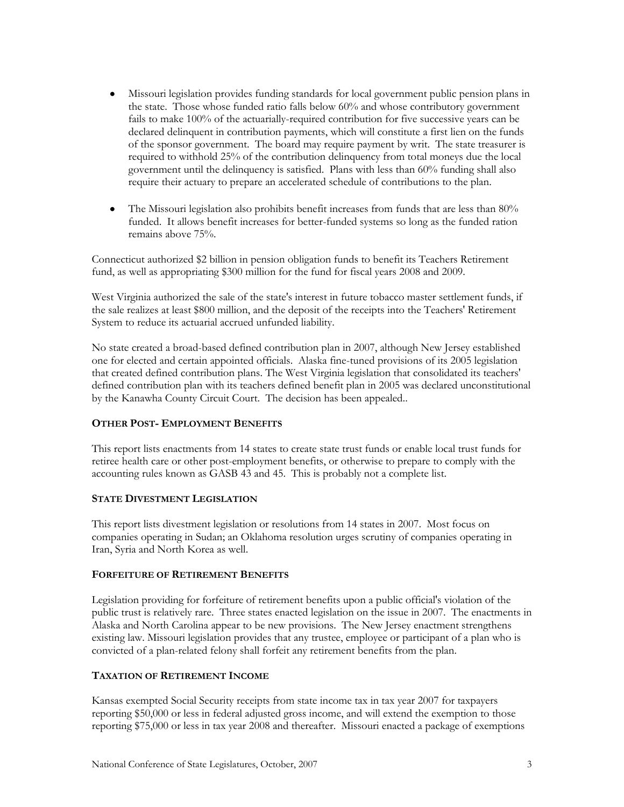- $\bullet$ Missouri legislation provides funding standards for local government public pension plans in the state. Those whose funded ratio falls below 60% and whose contributory government fails to make 100% of the actuarially-required contribution for five successive years can be declared delinquent in contribution payments, which will constitute a first lien on the funds of the sponsor government. The board may require payment by writ. The state treasurer is required to withhold 25% of the contribution delinquency from total moneys due the local government until the delinquency is satisfied. Plans with less than 60% funding shall also require their actuary to prepare an accelerated schedule of contributions to the plan.
- The Missouri legislation also prohibits benefit increases from funds that are less than 80%  $\bullet$ funded. It allows benefit increases for better-funded systems so long as the funded ration remains above 75%.

Connecticut authorized \$2 billion in pension obligation funds to benefit its Teachers Retirement fund, as well as appropriating \$300 million for the fund for fiscal years 2008 and 2009.

West Virginia authorized the sale of the state's interest in future tobacco master settlement funds, if the sale realizes at least \$800 million, and the deposit of the receipts into the Teachers' Retirement System to reduce its actuarial accrued unfunded liability.

No state created a broad-based defined contribution plan in 2007, although New Jersey established one for elected and certain appointed officials. Alaska fine-tuned provisions of its 2005 legislation that created defined contribution plans. The West Virginia legislation that consolidated its teachers' defined contribution plan with its teachers defined benefit plan in 2005 was declared unconstitutional by the Kanawha County Circuit Court. The decision has been appealed..

#### **OTHER POST- EMPLOYMENT BENEFITS**

This report lists enactments from 14 states to create state trust funds or enable local trust funds for retiree health care or other post-employment benefits, or otherwise to prepare to comply with the accounting rules known as GASB 43 and 45. This is probably not a complete list.

#### **STATE DIVESTMENT LEGISLATION**

This report lists divestment legislation or resolutions from 14 states in 2007. Most focus on companies operating in Sudan; an Oklahoma resolution urges scrutiny of companies operating in Iran, Syria and North Korea as well.

#### **FORFEITURE OF RETIREMENT BENEFITS**

Legislation providing for forfeiture of retirement benefits upon a public official's violation of the public trust is relatively rare. Three states enacted legislation on the issue in 2007. The enactments in Alaska and North Carolina appear to be new provisions. The New Jersey enactment strengthens existing law. Missouri legislation provides that any trustee, employee or participant of a plan who is convicted of a plan-related felony shall forfeit any retirement benefits from the plan.

#### **TAXATION OF RETIREMENT INCOME**

Kansas exempted Social Security receipts from state income tax in tax year 2007 for taxpayers reporting \$50,000 or less in federal adjusted gross income, and will extend the exemption to those reporting \$75,000 or less in tax year 2008 and thereafter. Missouri enacted a package of exemptions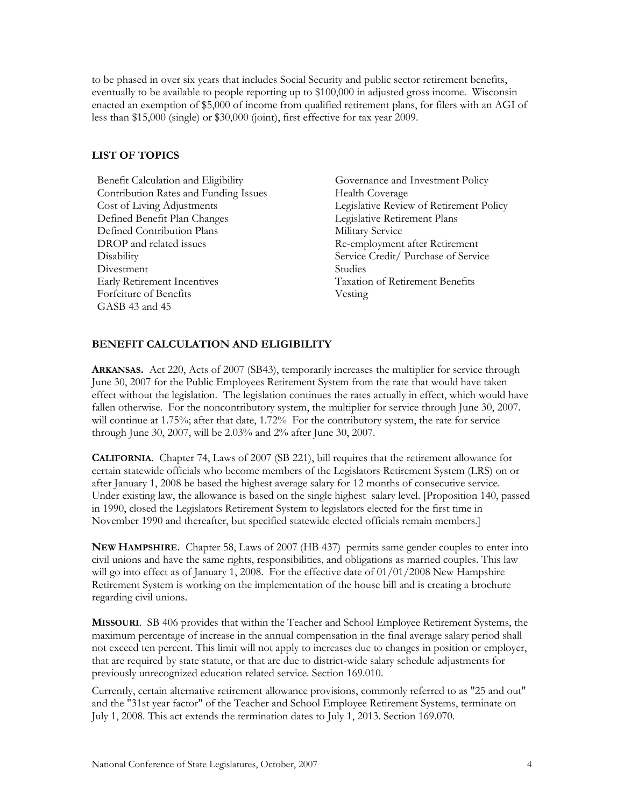to be phased in over six years that includes Social Security and public sector retirement benefits, eventually to be available to people reporting up to \$100,000 in adjusted gross income. Wisconsin enacted an exemption of \$5,000 of income from qualified retirement plans, for filers with an AGI of less than \$15,000 (single) or \$30,000 (joint), first effective for tax year 2009.

#### **LIST OF TOPICS**

Benefit Calculation and Eligibility Governance and Investment Policy Contribution Rates and Funding Issues Health Coverage Defined Benefit Plan Changes Legislative Retirement Plans Defined Contribution Plans Military Service DROP and related issues Re-employment after Retirement Disability Service Credit/ Purchase of Service Divestment Studies Early Retirement Incentives Taxation of Retirement Benefits Forfeiture of Benefits Vesting GASB 43 and 45

Cost of Living Adjustments Legislative Review of Retirement Policy

# **BENEFIT CALCULATION AND ELIGIBILITY**

**ARKANSAS.** Act 220, Acts of 2007 (SB43), temporarily increases the multiplier for service through June 30, 2007 for the Public Employees Retirement System from the rate that would have taken effect without the legislation. The legislation continues the rates actually in effect, which would have fallen otherwise. For the noncontributory system, the multiplier for service through June 30, 2007. will continue at 1.75%; after that date, 1.72% For the contributory system, the rate for service through June 30, 2007, will be 2.03% and 2% after June 30, 2007.

**CALIFORNIA**. Chapter 74, Laws of 2007 (SB 221), bill requires that the retirement allowance for certain statewide officials who become members of the Legislators Retirement System (LRS) on or after January 1, 2008 be based the highest average salary for 12 months of consecutive service. Under existing law, the allowance is based on the single highest salary level. [Proposition 140, passed in 1990, closed the Legislators Retirement System to legislators elected for the first time in November 1990 and thereafter, but specified statewide elected officials remain members.]

**NEW HAMPSHIRE**. Chapter 58, Laws of 2007 (HB 437) permits same gender couples to enter into civil unions and have the same rights, responsibilities, and obligations as married couples. This law will go into effect as of January 1, 2008. For the effective date of 01/01/2008 New Hampshire Retirement System is working on the implementation of the house bill and is creating a brochure regarding civil unions.

**MISSOURI**. SB 406 provides that within the Teacher and School Employee Retirement Systems, the maximum percentage of increase in the annual compensation in the final average salary period shall not exceed ten percent. This limit will not apply to increases due to changes in position or employer, that are required by state statute, or that are due to district-wide salary schedule adjustments for previously unrecognized education related service. Section 169.010.

Currently, certain alternative retirement allowance provisions, commonly referred to as "25 and out" and the "31st year factor" of the Teacher and School Employee Retirement Systems, terminate on July 1, 2008. This act extends the termination dates to July 1, 2013. Section 169.070.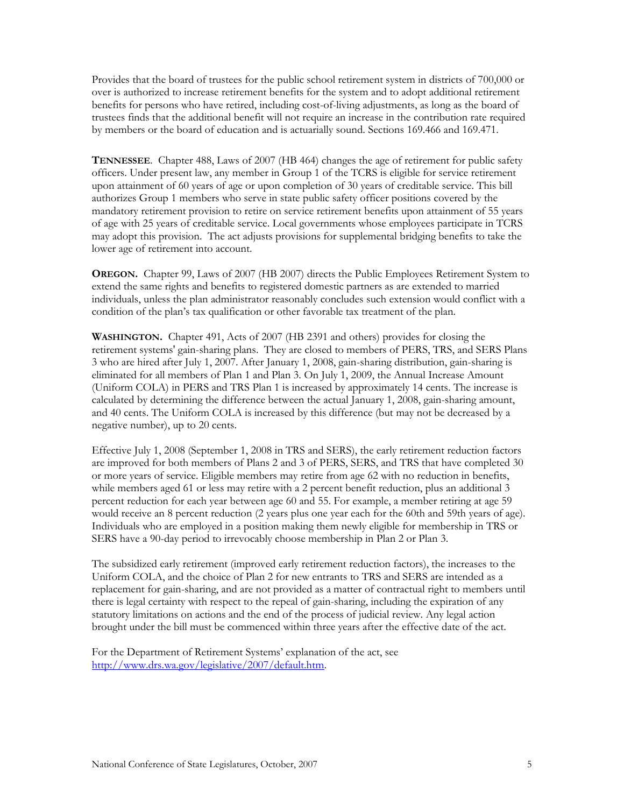Provides that the board of trustees for the public school retirement system in districts of 700,000 or over is authorized to increase retirement benefits for the system and to adopt additional retirement benefits for persons who have retired, including cost-of-living adjustments, as long as the board of trustees finds that the additional benefit will not require an increase in the contribution rate required by members or the board of education and is actuarially sound. Sections 169.466 and 169.471.

**TENNESSEE**. Chapter 488, Laws of 2007 (HB 464) changes the age of retirement for public safety officers. Under present law, any member in Group 1 of the TCRS is eligible for service retirement upon attainment of 60 years of age or upon completion of 30 years of creditable service. This bill authorizes Group 1 members who serve in state public safety officer positions covered by the mandatory retirement provision to retire on service retirement benefits upon attainment of 55 years of age with 25 years of creditable service. Local governments whose employees participate in TCRS may adopt this provision. The act adjusts provisions for supplemental bridging benefits to take the lower age of retirement into account.

**OREGON.** Chapter 99, Laws of 2007 (HB 2007) directs the Public Employees Retirement System to extend the same rights and benefits to registered domestic partners as are extended to married individuals, unless the plan administrator reasonably concludes such extension would conflict with a condition of the plan's tax qualification or other favorable tax treatment of the plan.

**WASHINGTON.** Chapter 491, Acts of 2007 (HB 2391 and others) provides for closing the retirement systems' gain-sharing plans. They are closed to members of PERS, TRS, and SERS Plans 3 who are hired after July 1, 2007. After January 1, 2008, gain-sharing distribution, gain-sharing is eliminated for all members of Plan 1 and Plan 3. On July 1, 2009, the Annual Increase Amount (Uniform COLA) in PERS and TRS Plan 1 is increased by approximately 14 cents. The increase is calculated by determining the difference between the actual January 1, 2008, gain-sharing amount, and 40 cents. The Uniform COLA is increased by this difference (but may not be decreased by a negative number), up to 20 cents.

Effective July 1, 2008 (September 1, 2008 in TRS and SERS), the early retirement reduction factors are improved for both members of Plans 2 and 3 of PERS, SERS, and TRS that have completed 30 or more years of service. Eligible members may retire from age 62 with no reduction in benefits, while members aged 61 or less may retire with a 2 percent benefit reduction, plus an additional 3 percent reduction for each year between age 60 and 55. For example, a member retiring at age 59 would receive an 8 percent reduction (2 years plus one year each for the 60th and 59th years of age). Individuals who are employed in a position making them newly eligible for membership in TRS or SERS have a 90-day period to irrevocably choose membership in Plan 2 or Plan 3.

The subsidized early retirement (improved early retirement reduction factors), the increases to the Uniform COLA, and the choice of Plan 2 for new entrants to TRS and SERS are intended as a replacement for gain-sharing, and are not provided as a matter of contractual right to members until there is legal certainty with respect to the repeal of gain-sharing, including the expiration of any statutory limitations on actions and the end of the process of judicial review. Any legal action brought under the bill must be commenced within three years after the effective date of the act.

For the Department of Retirement Systems' explanation of the act, see [http://www.drs.wa.gov/legislative/2007/default.htm.](http://www.drs.wa.gov/legislative/2007/default.htm)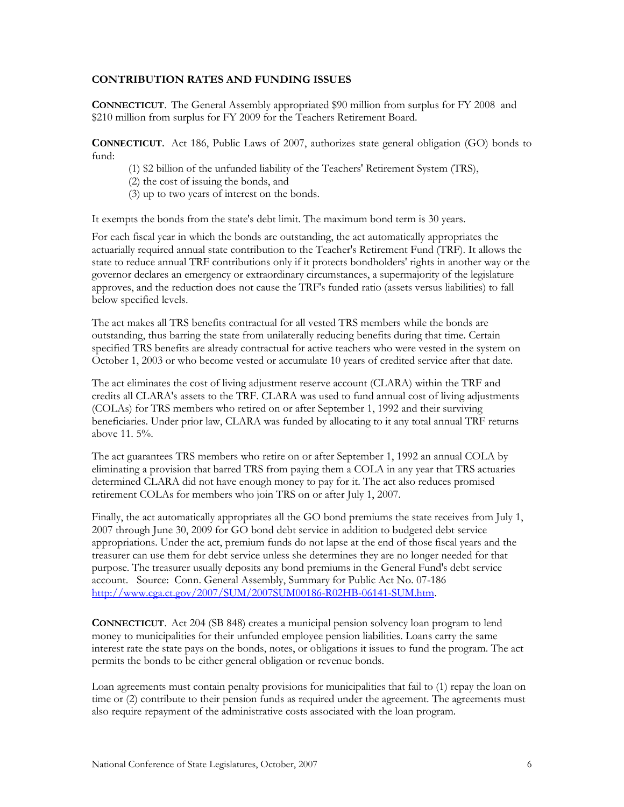#### **CONTRIBUTION RATES AND FUNDING ISSUES**

**CONNECTICUT**. The General Assembly appropriated \$90 million from surplus for FY 2008 and \$210 million from surplus for FY 2009 for the Teachers Retirement Board.

**CONNECTICUT**. Act 186, Public Laws of 2007, authorizes state general obligation (GO) bonds to fund:

- (1) \$2 billion of the unfunded liability of the Teachers' Retirement System (TRS),
- (2) the cost of issuing the bonds, and
- (3) up to two years of interest on the bonds.

It exempts the bonds from the state's debt limit. The maximum bond term is 30 years.

For each fiscal year in which the bonds are outstanding, the act automatically appropriates the actuarially required annual state contribution to the Teacher's Retirement Fund (TRF). It allows the state to reduce annual TRF contributions only if it protects bondholders' rights in another way or the governor declares an emergency or extraordinary circumstances, a supermajority of the legislature approves, and the reduction does not cause the TRF's funded ratio (assets versus liabilities) to fall below specified levels.

The act makes all TRS benefits contractual for all vested TRS members while the bonds are outstanding, thus barring the state from unilaterally reducing benefits during that time. Certain specified TRS benefits are already contractual for active teachers who were vested in the system on October 1, 2003 or who become vested or accumulate 10 years of credited service after that date.

The act eliminates the cost of living adjustment reserve account (CLARA) within the TRF and credits all CLARA's assets to the TRF. CLARA was used to fund annual cost of living adjustments (COLAs) for TRS members who retired on or after September 1, 1992 and their surviving beneficiaries. Under prior law, CLARA was funded by allocating to it any total annual TRF returns above 11. 5%.

The act guarantees TRS members who retire on or after September 1, 1992 an annual COLA by eliminating a provision that barred TRS from paying them a COLA in any year that TRS actuaries determined CLARA did not have enough money to pay for it. The act also reduces promised retirement COLAs for members who join TRS on or after July 1, 2007.

Finally, the act automatically appropriates all the GO bond premiums the state receives from July 1, 2007 through June 30, 2009 for GO bond debt service in addition to budgeted debt service appropriations. Under the act, premium funds do not lapse at the end of those fiscal years and the treasurer can use them for debt service unless she determines they are no longer needed for that purpose. The treasurer usually deposits any bond premiums in the General Fund's debt service account. Source: Conn. General Assembly, Summary for Public Act No. 07-186 [http://www.cga.ct.gov/2007/SUM/2007SUM00186-R02HB-06141-SUM.htm.](http://www.cga.ct.gov/2007/SUM/2007SUM00186-R02HB-06141-SUM.htm)

**CONNECTICUT**. Act 204 (SB 848) creates a municipal pension solvency loan program to lend money to municipalities for their unfunded employee pension liabilities. Loans carry the same interest rate the state pays on the bonds, notes, or obligations it issues to fund the program. The act permits the bonds to be either general obligation or revenue bonds.

Loan agreements must contain penalty provisions for municipalities that fail to (1) repay the loan on time or (2) contribute to their pension funds as required under the agreement. The agreements must also require repayment of the administrative costs associated with the loan program.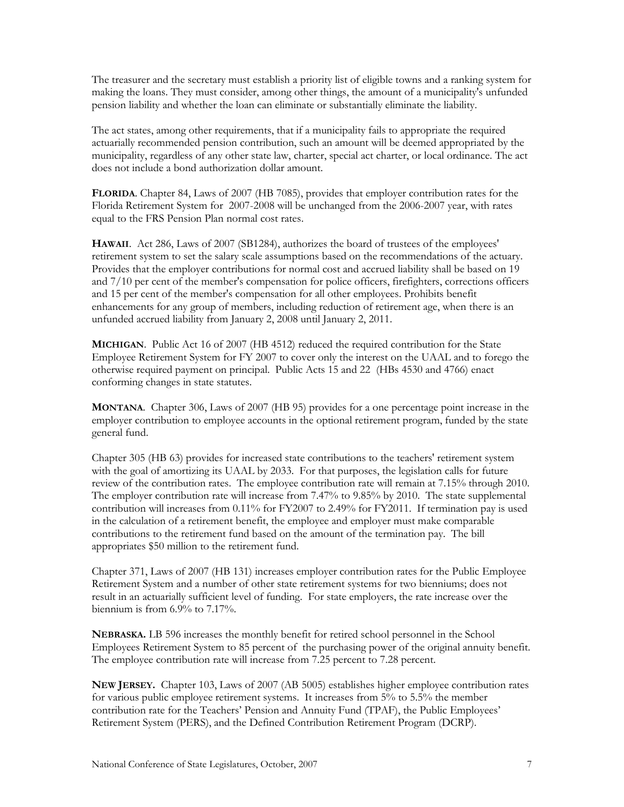The treasurer and the secretary must establish a priority list of eligible towns and a ranking system for making the loans. They must consider, among other things, the amount of a municipality's unfunded pension liability and whether the loan can eliminate or substantially eliminate the liability.

The act states, among other requirements, that if a municipality fails to appropriate the required actuarially recommended pension contribution, such an amount will be deemed appropriated by the municipality, regardless of any other state law, charter, special act charter, or local ordinance. The act does not include a bond authorization dollar amount.

**FLORIDA**. Chapter 84, Laws of 2007 (HB 7085), provides that employer contribution rates for the Florida Retirement System for 2007-2008 will be unchanged from the 2006-2007 year, with rates equal to the FRS Pension Plan normal cost rates.

**HAWAII**. Act 286, Laws of 2007 (SB1284), authorizes the board of trustees of the employees' retirement system to set the salary scale assumptions based on the recommendations of the actuary. Provides that the employer contributions for normal cost and accrued liability shall be based on 19 and 7/10 per cent of the member's compensation for police officers, firefighters, corrections officers and 15 per cent of the member's compensation for all other employees. Prohibits benefit enhancements for any group of members, including reduction of retirement age, when there is an unfunded accrued liability from January 2, 2008 until January 2, 2011.

**MICHIGAN**. Public Act 16 of 2007 (HB 4512) reduced the required contribution for the State Employee Retirement System for FY 2007 to cover only the interest on the UAAL and to forego the otherwise required payment on principal. Public Acts 15 and 22 (HBs 4530 and 4766) enact conforming changes in state statutes.

**MONTANA**. Chapter 306, Laws of 2007 (HB 95) provides for a one percentage point increase in the employer contribution to employee accounts in the optional retirement program, funded by the state general fund.

Chapter 305 (HB 63) provides for increased state contributions to the teachers' retirement system with the goal of amortizing its UAAL by 2033. For that purposes, the legislation calls for future review of the contribution rates. The employee contribution rate will remain at 7.15% through 2010. The employer contribution rate will increase from 7.47% to 9.85% by 2010. The state supplemental contribution will increases from 0.11% for FY2007 to 2.49% for FY2011. If termination pay is used in the calculation of a retirement benefit, the employee and employer must make comparable contributions to the retirement fund based on the amount of the termination pay. The bill appropriates \$50 million to the retirement fund.

Chapter 371, Laws of 2007 (HB 131) increases employer contribution rates for the Public Employee Retirement System and a number of other state retirement systems for two bienniums; does not result in an actuarially sufficient level of funding. For state employers, the rate increase over the biennium is from 6.9% to 7.17%.

**NEBRASKA.** LB 596 increases the monthly benefit for retired school personnel in the School Employees Retirement System to 85 percent of the purchasing power of the original annuity benefit. The employee contribution rate will increase from 7.25 percent to 7.28 percent.

**NEW JERSEY.** Chapter 103, Laws of 2007 (AB 5005) establishes higher employee contribution rates for various public employee retirement systems. It increases from 5% to 5.5% the member contribution rate for the Teachers' Pension and Annuity Fund (TPAF), the Public Employees' Retirement System (PERS), and the Defined Contribution Retirement Program (DCRP).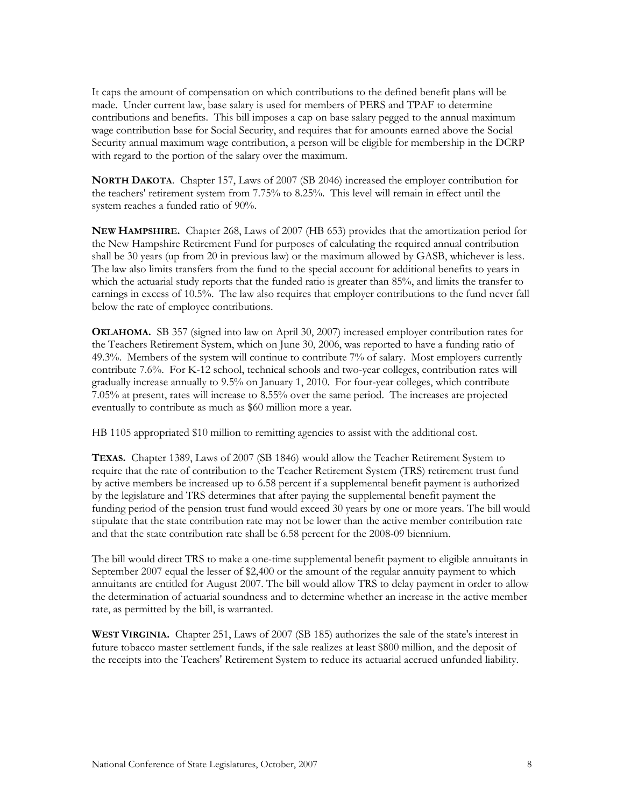It caps the amount of compensation on which contributions to the defined benefit plans will be made. Under current law, base salary is used for members of PERS and TPAF to determine contributions and benefits. This bill imposes a cap on base salary pegged to the annual maximum wage contribution base for Social Security, and requires that for amounts earned above the Social Security annual maximum wage contribution, a person will be eligible for membership in the DCRP with regard to the portion of the salary over the maximum.

**NORTH DAKOTA**. Chapter 157, Laws of 2007 (SB 2046) increased the employer contribution for the teachers' retirement system from 7.75% to 8.25%. This level will remain in effect until the system reaches a funded ratio of 90%.

**NEW HAMPSHIRE.** Chapter 268, Laws of 2007 (HB 653) provides that the amortization period for the New Hampshire Retirement Fund for purposes of calculating the required annual contribution shall be 30 years (up from 20 in previous law) or the maximum allowed by GASB, whichever is less. The law also limits transfers from the fund to the special account for additional benefits to years in which the actuarial study reports that the funded ratio is greater than 85%, and limits the transfer to earnings in excess of 10.5%. The law also requires that employer contributions to the fund never fall below the rate of employee contributions.

**OKLAHOMA.** SB 357 (signed into law on April 30, 2007) increased employer contribution rates for the Teachers Retirement System, which on June 30, 2006, was reported to have a funding ratio of 49.3%. Members of the system will continue to contribute 7% of salary. Most employers currently contribute 7.6%. For K-12 school, technical schools and two-year colleges, contribution rates will gradually increase annually to 9.5% on January 1, 2010. For four-year colleges, which contribute 7.05% at present, rates will increase to 8.55% over the same period. The increases are projected eventually to contribute as much as \$60 million more a year.

HB 1105 appropriated \$10 million to remitting agencies to assist with the additional cost.

**TEXAS.** Chapter 1389, Laws of 2007 (SB 1846) would allow the Teacher Retirement System to require that the rate of contribution to the Teacher Retirement System (TRS) retirement trust fund by active members be increased up to 6.58 percent if a supplemental benefit payment is authorized by the legislature and TRS determines that after paying the supplemental benefit payment the funding period of the pension trust fund would exceed 30 years by one or more years. The bill would stipulate that the state contribution rate may not be lower than the active member contribution rate and that the state contribution rate shall be 6.58 percent for the 2008-09 biennium.

The bill would direct TRS to make a one-time supplemental benefit payment to eligible annuitants in September 2007 equal the lesser of \$2,400 or the amount of the regular annuity payment to which annuitants are entitled for August 2007. The bill would allow TRS to delay payment in order to allow the determination of actuarial soundness and to determine whether an increase in the active member rate, as permitted by the bill, is warranted.

**WEST VIRGINIA.** Chapter 251, Laws of 2007 (SB 185) authorizes the sale of the state's interest in future tobacco master settlement funds, if the sale realizes at least \$800 million, and the deposit of the receipts into the Teachers' Retirement System to reduce its actuarial accrued unfunded liability.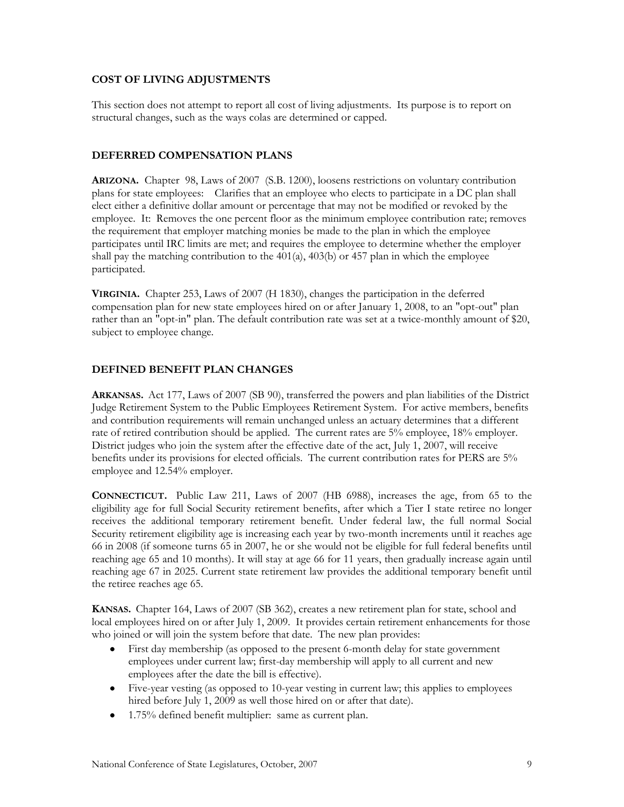### **COST OF LIVING ADJUSTMENTS**

This section does not attempt to report all cost of living adjustments. Its purpose is to report on structural changes, such as the ways colas are determined or capped.

#### **DEFERRED COMPENSATION PLANS**

**ARIZONA.** Chapter 98, Laws of 2007 (S.B. 1200), loosens restrictions on voluntary contribution plans for state employees: Clarifies that an employee who elects to participate in a DC plan shall elect either a definitive dollar amount or percentage that may not be modified or revoked by the employee. It: Removes the one percent floor as the minimum employee contribution rate; removes the requirement that employer matching monies be made to the plan in which the employee participates until IRC limits are met; and requires the employee to determine whether the employer shall pay the matching contribution to the  $401(a)$ ,  $403(b)$  or  $457$  plan in which the employee participated.

**VIRGINIA.** Chapter 253, Laws of 2007 (H 1830), changes the participation in the deferred compensation plan for new state employees hired on or after January 1, 2008, to an "opt-out" plan rather than an "opt-in" plan. The default contribution rate was set at a twice-monthly amount of \$20, subject to employee change.

# **DEFINED BENEFIT PLAN CHANGES**

**ARKANSAS.** Act 177, Laws of 2007 (SB 90), transferred the powers and plan liabilities of the District Judge Retirement System to the Public Employees Retirement System. For active members, benefits and contribution requirements will remain unchanged unless an actuary determines that a different rate of retired contribution should be applied. The current rates are 5% employee, 18% employer. District judges who join the system after the effective date of the act, July 1, 2007, will receive benefits under its provisions for elected officials. The current contribution rates for PERS are 5% employee and 12.54% employer.

**CONNECTICUT.** Public Law 211, Laws of 2007 (HB 6988), increases the age, from 65 to the eligibility age for full Social Security retirement benefits, after which a Tier I state retiree no longer receives the additional temporary retirement benefit. Under federal law, the full normal Social Security retirement eligibility age is increasing each year by two-month increments until it reaches age 66 in 2008 (if someone turns 65 in 2007, he or she would not be eligible for full federal benefits until reaching age 65 and 10 months). It will stay at age 66 for 11 years, then gradually increase again until reaching age 67 in 2025. Current state retirement law provides the additional temporary benefit until the retiree reaches age 65.

**KANSAS.** Chapter 164, Laws of 2007 (SB 362), creates a new retirement plan for state, school and local employees hired on or after July 1, 2009. It provides certain retirement enhancements for those who joined or will join the system before that date. The new plan provides:

- First day membership (as opposed to the present 6-month delay for state government employees under current law; first-day membership will apply to all current and new employees after the date the bill is effective).
- Five-year vesting (as opposed to 10-year vesting in current law; this applies to employees hired before July 1, 2009 as well those hired on or after that date).
- 1.75% defined benefit multiplier: same as current plan.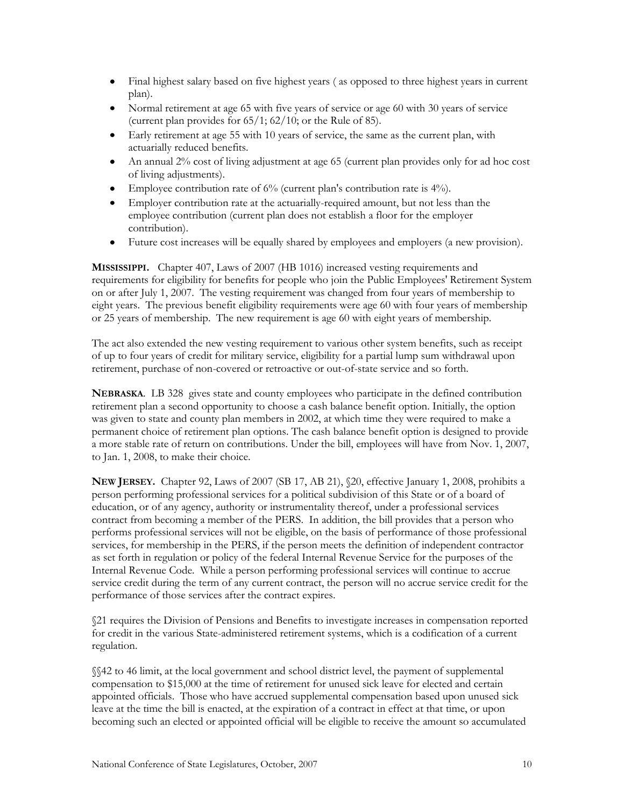- Final highest salary based on five highest years ( as opposed to three highest years in current  $\bullet$ plan).
- Normal retirement at age 65 with five years of service or age 60 with 30 years of service (current plan provides for 65/1; 62/10; or the Rule of 85).
- Early retirement at age 55 with 10 years of service, the same as the current plan, with actuarially reduced benefits.
- An annual 2% cost of living adjustment at age 65 (current plan provides only for ad hoc cost of living adjustments).
- Employee contribution rate of 6% (current plan's contribution rate is 4%).
- Employer contribution rate at the actuarially-required amount, but not less than the employee contribution (current plan does not establish a floor for the employer contribution).
- Future cost increases will be equally shared by employees and employers (a new provision).  $\bullet$

**MISSISSIPPI.** Chapter 407, Laws of 2007 (HB 1016) increased vesting requirements and requirements for eligibility for benefits for people who join the Public Employees' Retirement System on or after July 1, 2007. The vesting requirement was changed from four years of membership to eight years. The previous benefit eligibility requirements were age 60 with four years of membership or 25 years of membership. The new requirement is age 60 with eight years of membership.

The act also extended the new vesting requirement to various other system benefits, such as receipt of up to four years of credit for military service, eligibility for a partial lump sum withdrawal upon retirement, purchase of non-covered or retroactive or out-of-state service and so forth.

**NEBRASKA**. LB 328 gives state and county employees who participate in the defined contribution retirement plan a second opportunity to choose a cash balance benefit option. Initially, the option was given to state and county plan members in 2002, at which time they were required to make a permanent choice of retirement plan options. The cash balance benefit option is designed to provide a more stable rate of return on contributions. Under the bill, employees will have from Nov. 1, 2007, to Jan. 1, 2008, to make their choice.

**NEW JERSEY.** Chapter 92, Laws of 2007 (SB 17, AB 21), §20, effective January 1, 2008, prohibits a person performing professional services for a political subdivision of this State or of a board of education, or of any agency, authority or instrumentality thereof, under a professional services contract from becoming a member of the PERS. In addition, the bill provides that a person who performs professional services will not be eligible, on the basis of performance of those professional services, for membership in the PERS, if the person meets the definition of independent contractor as set forth in regulation or policy of the federal Internal Revenue Service for the purposes of the Internal Revenue Code. While a person performing professional services will continue to accrue service credit during the term of any current contract, the person will no accrue service credit for the performance of those services after the contract expires.

§21 requires the Division of Pensions and Benefits to investigate increases in compensation reported for credit in the various State-administered retirement systems, which is a codification of a current regulation.

§§42 to 46 limit, at the local government and school district level, the payment of supplemental compensation to \$15,000 at the time of retirement for unused sick leave for elected and certain appointed officials. Those who have accrued supplemental compensation based upon unused sick leave at the time the bill is enacted, at the expiration of a contract in effect at that time, or upon becoming such an elected or appointed official will be eligible to receive the amount so accumulated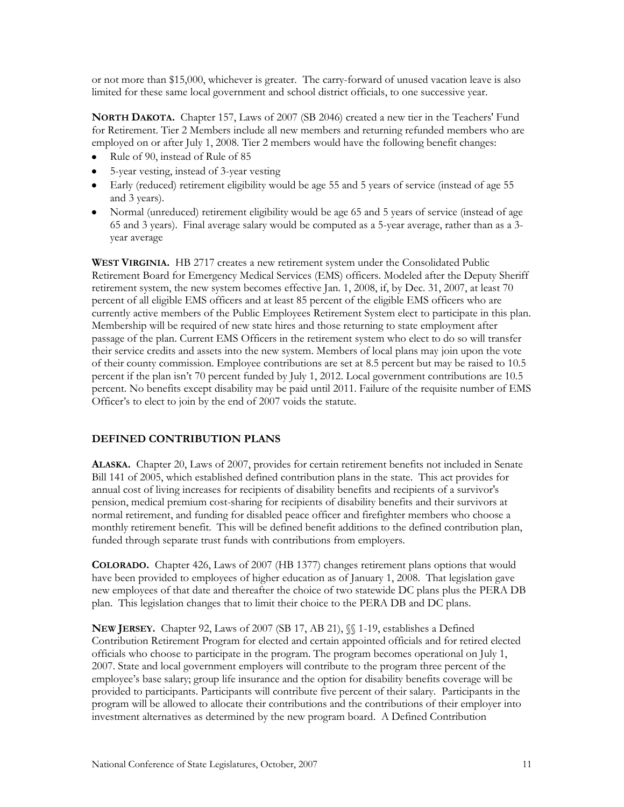or not more than \$15,000, whichever is greater. The carry-forward of unused vacation leave is also limited for these same local government and school district officials, to one successive year.

**NORTH DAKOTA.** Chapter 157, Laws of 2007 (SB 2046) created a new tier in the Teachers' Fund for Retirement. Tier 2 Members include all new members and returning refunded members who are employed on or after July 1, 2008. Tier 2 members would have the following benefit changes:

- Rule of 90, instead of Rule of 85
- 5-year vesting, instead of 3-year vesting
- Early (reduced) retirement eligibility would be age 55 and 5 years of service (instead of age 55 and 3 years).
- Normal (unreduced) retirement eligibility would be age 65 and 5 years of service (instead of age 65 and 3 years). Final average salary would be computed as a 5-year average, rather than as a 3 year average

**WEST VIRGINIA.** HB 2717 creates a new retirement system under the Consolidated Public Retirement Board for Emergency Medical Services (EMS) officers. Modeled after the Deputy Sheriff retirement system, the new system becomes effective Jan. 1, 2008, if, by Dec. 31, 2007, at least 70 percent of all eligible EMS officers and at least 85 percent of the eligible EMS officers who are currently active members of the Public Employees Retirement System elect to participate in this plan. Membership will be required of new state hires and those returning to state employment after passage of the plan. Current EMS Officers in the retirement system who elect to do so will transfer their service credits and assets into the new system. Members of local plans may join upon the vote of their county commission. Employee contributions are set at 8.5 percent but may be raised to 10.5 percent if the plan isn't 70 percent funded by July 1, 2012. Local government contributions are 10.5 percent. No benefits except disability may be paid until 2011. Failure of the requisite number of EMS Officer's to elect to join by the end of 2007 voids the statute.

#### **DEFINED CONTRIBUTION PLANS**

**ALASKA.** Chapter 20, Laws of 2007, provides for certain retirement benefits not included in Senate Bill 141 of 2005, which established defined contribution plans in the state. This act provides for annual cost of living increases for recipients of disability benefits and recipients of a survivor's pension, medical premium cost-sharing for recipients of disability benefits and their survivors at normal retirement, and funding for disabled peace officer and firefighter members who choose a monthly retirement benefit. This will be defined benefit additions to the defined contribution plan, funded through separate trust funds with contributions from employers.

**COLORADO.** Chapter 426, Laws of 2007 (HB 1377) changes retirement plans options that would have been provided to employees of higher education as of January 1, 2008. That legislation gave new employees of that date and thereafter the choice of two statewide DC plans plus the PERA DB plan. This legislation changes that to limit their choice to the PERA DB and DC plans.

**NEW JERSEY.** Chapter 92, Laws of 2007 (SB 17, AB 21), §§ 1-19, establishes a Defined Contribution Retirement Program for elected and certain appointed officials and for retired elected officials who choose to participate in the program. The program becomes operational on July 1, 2007. State and local government employers will contribute to the program three percent of the employee's base salary; group life insurance and the option for disability benefits coverage will be provided to participants. Participants will contribute five percent of their salary. Participants in the program will be allowed to allocate their contributions and the contributions of their employer into investment alternatives as determined by the new program board. A Defined Contribution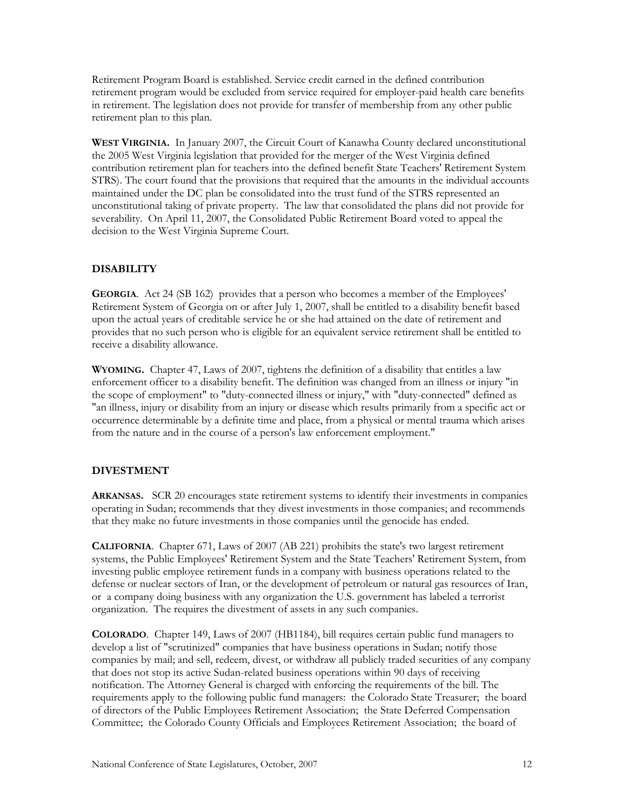Retirement Program Board is established. Service credit earned in the defined contribution retirement program would be excluded from service required for employer-paid health care benefits in retirement. The legislation does not provide for transfer of membership from any other public retirement plan to this plan.

**WEST VIRGINIA.** In January 2007, the Circuit Court of Kanawha County declared unconstitutional the 2005 West Virginia legislation that provided for the merger of the West Virginia defined contribution retirement plan for teachers into the defined benefit State Teachers' Retirement System STRS). The court found that the provisions that required that the amounts in the individual accounts maintained under the DC plan be consolidated into the trust fund of the STRS represented an unconstitutional taking of private property. The law that consolidated the plans did not provide for severability. On April 11, 2007, the Consolidated Public Retirement Board voted to appeal the decision to the West Virginia Supreme Court.

# **DISABILITY**

**GEORGIA**. Act 24 (SB 162) provides that a person who becomes a member of the Employees' Retirement System of Georgia on or after July 1, 2007, shall be entitled to a disability benefit based upon the actual years of creditable service he or she had attained on the date of retirement and provides that no such person who is eligible for an equivalent service retirement shall be entitled to receive a disability allowance.

**WYOMING.** Chapter 47, Laws of 2007, tightens the definition of a disability that entitles a law enforcement officer to a disability benefit. The definition was changed from an illness or injury "in the scope of employment" to "duty-connected illness or injury," with "duty-connected" defined as "an illness, injury or disability from an injury or disease which results primarily from a specific act or occurrence determinable by a definite time and place, from a physical or mental trauma which arises from the nature and in the course of a person's law enforcement employment."

#### **DIVESTMENT**

**ARKANSAS.** SCR 20 encourages state retirement systems to identify their investments in companies operating in Sudan; recommends that they divest investments in those companies; and recommends that they make no future investments in those companies until the genocide has ended.

**CALIFORNIA**. Chapter 671, Laws of 2007 (AB 221) prohibits the state's two largest retirement systems, the Public Employees' Retirement System and the State Teachers' Retirement System, from investing public employee retirement funds in a company with business operations related to the defense or nuclear sectors of Iran, or the development of petroleum or natural gas resources of Iran, or a company doing business with any organization the U.S. government has labeled a terrorist organization. The requires the divestment of assets in any such companies.

**COLORADO**. Chapter 149, Laws of 2007 (HB1184), bill requires certain public fund managers to develop a list of "scrutinized" companies that have business operations in Sudan; notify those companies by mail; and sell, redeem, divest, or withdraw all publicly traded securities of any company that does not stop its active Sudan-related business operations within 90 days of receiving notification. The Attorney General is charged with enforcing the requirements of the bill. The requirements apply to the following public fund managers: the Colorado State Treasurer; the board of directors of the Public Employees Retirement Association; the State Deferred Compensation Committee; the Colorado County Officials and Employees Retirement Association; the board of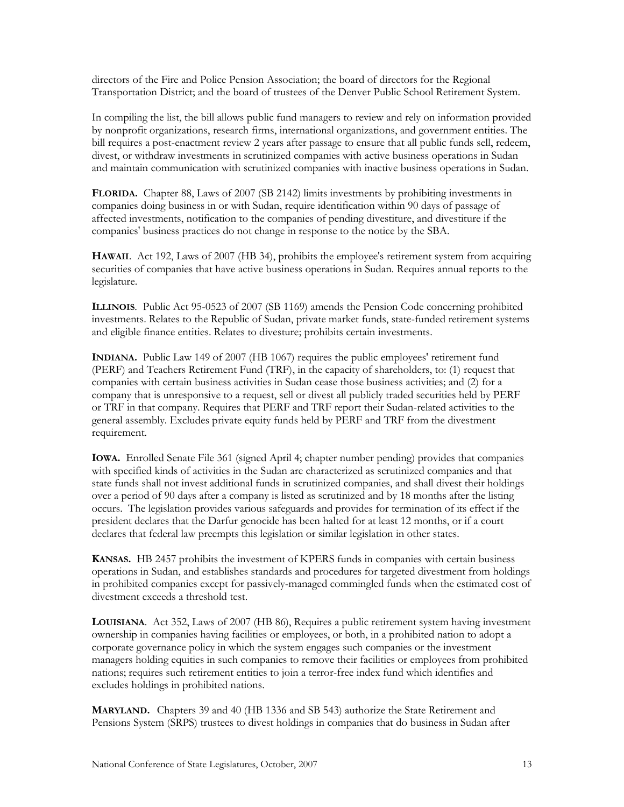directors of the Fire and Police Pension Association; the board of directors for the Regional Transportation District; and the board of trustees of the Denver Public School Retirement System.

In compiling the list, the bill allows public fund managers to review and rely on information provided by nonprofit organizations, research firms, international organizations, and government entities. The bill requires a post-enactment review 2 years after passage to ensure that all public funds sell, redeem, divest, or withdraw investments in scrutinized companies with active business operations in Sudan and maintain communication with scrutinized companies with inactive business operations in Sudan.

**FLORIDA.** Chapter 88, Laws of 2007 (SB 2142) limits investments by prohibiting investments in companies doing business in or with Sudan, require identification within 90 days of passage of affected investments, notification to the companies of pending divestiture, and divestiture if the companies' business practices do not change in response to the notice by the SBA.

**HAWAII**. Act 192, Laws of 2007 (HB 34), prohibits the employee's retirement system from acquiring securities of companies that have active business operations in Sudan. Requires annual reports to the legislature.

**ILLINOIS**. Public Act 95-0523 of 2007 (SB 1169) amends the Pension Code concerning prohibited investments. Relates to the Republic of Sudan, private market funds, state-funded retirement systems and eligible finance entities. Relates to divesture; prohibits certain investments.

**INDIANA.** Public Law 149 of 2007 (HB 1067) requires the public employees' retirement fund (PERF) and Teachers Retirement Fund (TRF), in the capacity of shareholders, to: (1) request that companies with certain business activities in Sudan cease those business activities; and (2) for a company that is unresponsive to a request, sell or divest all publicly traded securities held by PERF or TRF in that company. Requires that PERF and TRF report their Sudan-related activities to the general assembly. Excludes private equity funds held by PERF and TRF from the divestment requirement.

**IOWA.** Enrolled Senate File 361 (signed April 4; chapter number pending) provides that companies with specified kinds of activities in the Sudan are characterized as scrutinized companies and that state funds shall not invest additional funds in scrutinized companies, and shall divest their holdings over a period of 90 days after a company is listed as scrutinized and by 18 months after the listing occurs. The legislation provides various safeguards and provides for termination of its effect if the president declares that the Darfur genocide has been halted for at least 12 months, or if a court declares that federal law preempts this legislation or similar legislation in other states.

**KANSAS.** HB 2457 prohibits the investment of KPERS funds in companies with certain business operations in Sudan, and establishes standards and procedures for targeted divestment from holdings in prohibited companies except for passively-managed commingled funds when the estimated cost of divestment exceeds a threshold test.

**LOUISIANA**. Act 352, Laws of 2007 (HB 86), Requires a public retirement system having investment ownership in companies having facilities or employees, or both, in a prohibited nation to adopt a corporate governance policy in which the system engages such companies or the investment managers holding equities in such companies to remove their facilities or employees from prohibited nations; requires such retirement entities to join a terror-free index fund which identifies and excludes holdings in prohibited nations.

**MARYLAND.** Chapters 39 and 40 (HB 1336 and SB 543) authorize the State Retirement and Pensions System (SRPS) trustees to divest holdings in companies that do business in Sudan after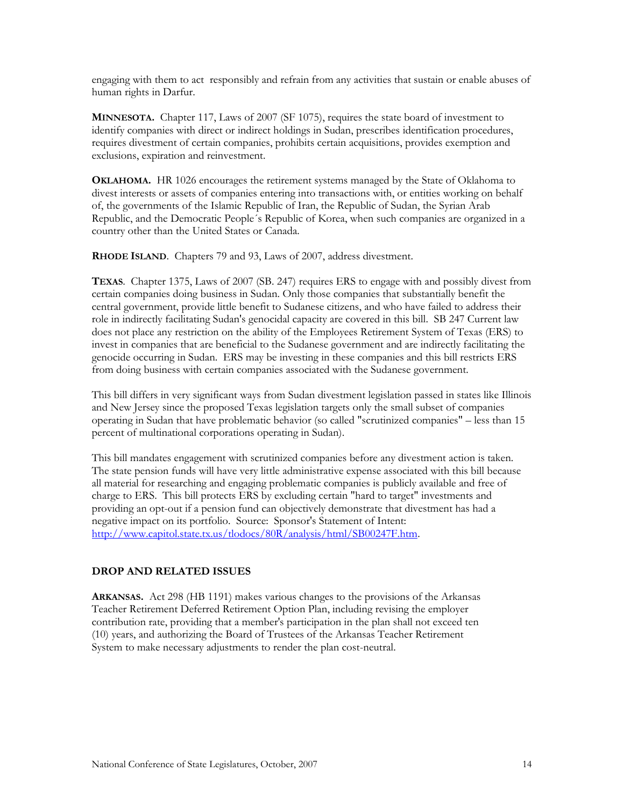engaging with them to act responsibly and refrain from any activities that sustain or enable abuses of human rights in Darfur.

**MINNESOTA.** Chapter 117, Laws of 2007 (SF 1075), requires the state board of investment to identify companies with direct or indirect holdings in Sudan, prescribes identification procedures, requires divestment of certain companies, prohibits certain acquisitions, provides exemption and exclusions, expiration and reinvestment.

**OKLAHOMA.** HR 1026 encourages the retirement systems managed by the State of Oklahoma to divest interests or assets of companies entering into transactions with, or entities working on behalf of, the governments of the Islamic Republic of Iran, the Republic of Sudan, the Syrian Arab Republic, and the Democratic People´s Republic of Korea, when such companies are organized in a country other than the United States or Canada.

**RHODE ISLAND**. Chapters 79 and 93, Laws of 2007, address divestment.

**TEXAS**. Chapter 1375, Laws of 2007 (SB. 247) requires ERS to engage with and possibly divest from certain companies doing business in Sudan. Only those companies that substantially benefit the central government, provide little benefit to Sudanese citizens, and who have failed to address their role in indirectly facilitating Sudan's genocidal capacity are covered in this bill. SB 247 Current law does not place any restriction on the ability of the Employees Retirement System of Texas (ERS) to invest in companies that are beneficial to the Sudanese government and are indirectly facilitating the genocide occurring in Sudan. ERS may be investing in these companies and this bill restricts ERS from doing business with certain companies associated with the Sudanese government.

This bill differs in very significant ways from Sudan divestment legislation passed in states like Illinois and New Jersey since the proposed Texas legislation targets only the small subset of companies operating in Sudan that have problematic behavior (so called "scrutinized companies" – less than 15 percent of multinational corporations operating in Sudan).

This bill mandates engagement with scrutinized companies before any divestment action is taken. The state pension funds will have very little administrative expense associated with this bill because all material for researching and engaging problematic companies is publicly available and free of charge to ERS. This bill protects ERS by excluding certain "hard to target" investments and providing an opt-out if a pension fund can objectively demonstrate that divestment has had a negative impact on its portfolio. Source: Sponsor's Statement of Intent: [http://www.capitol.state.tx.us/tlodocs/80R/analysis/html/SB00247F.htm.](http://www.capitol.state.tx.us/tlodocs/80R/analysis/html/SB00247F.htm)

#### **DROP AND RELATED ISSUES**

**ARKANSAS.** Act 298 (HB 1191) makes various changes to the provisions of the Arkansas Teacher Retirement Deferred Retirement Option Plan, including revising the employer contribution rate, providing that a member's participation in the plan shall not exceed ten (10) years, and authorizing the Board of Trustees of the Arkansas Teacher Retirement System to make necessary adjustments to render the plan cost-neutral.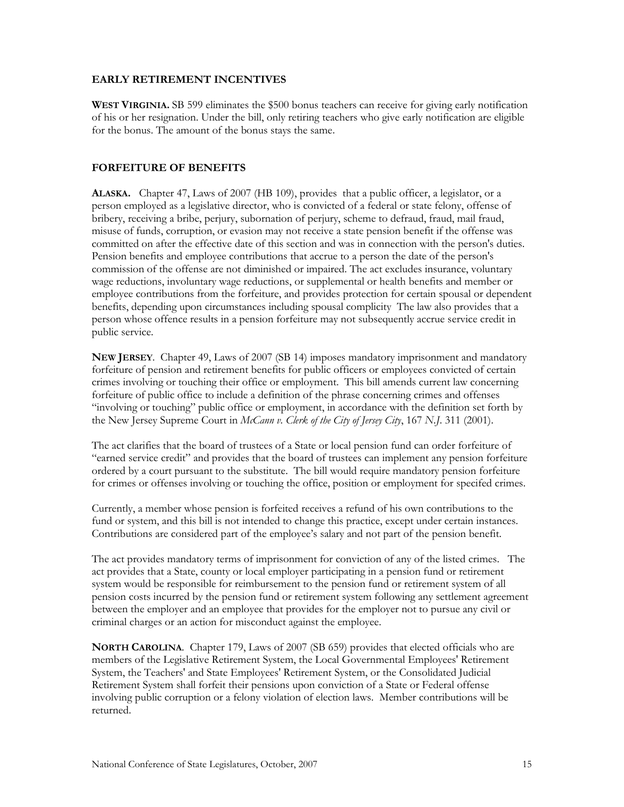#### **EARLY RETIREMENT INCENTIVES**

**WEST VIRGINIA.** SB 599 eliminates the \$500 bonus teachers can receive for giving early notification of his or her resignation. Under the bill, only retiring teachers who give early notification are eligible for the bonus. The amount of the bonus stays the same.

#### **FORFEITURE OF BENEFITS**

**ALASKA.** Chapter 47, Laws of 2007 (HB 109), provides that a public officer, a legislator, or a person employed as a legislative director, who is convicted of a federal or state felony, offense of bribery, receiving a bribe, perjury, subornation of perjury, scheme to defraud, fraud, mail fraud, misuse of funds, corruption, or evasion may not receive a state pension benefit if the offense was committed on after the effective date of this section and was in connection with the person's duties. Pension benefits and employee contributions that accrue to a person the date of the person's commission of the offense are not diminished or impaired. The act excludes insurance, voluntary wage reductions, involuntary wage reductions, or supplemental or health benefits and member or employee contributions from the forfeiture, and provides protection for certain spousal or dependent benefits, depending upon circumstances including spousal complicity The law also provides that a person whose offence results in a pension forfeiture may not subsequently accrue service credit in public service.

**NEW JERSEY**. Chapter 49, Laws of 2007 (SB 14) imposes mandatory imprisonment and mandatory forfeiture of pension and retirement benefits for public officers or employees convicted of certain crimes involving or touching their office or employment. This bill amends current law concerning forfeiture of public office to include a definition of the phrase concerning crimes and offenses "involving or touching" public office or employment, in accordance with the definition set forth by the New Jersey Supreme Court in *McCann v. Clerk of the City of Jersey City*, 167 *N.J*. 311 (2001).

The act clarifies that the board of trustees of a State or local pension fund can order forfeiture of "earned service credit" and provides that the board of trustees can implement any pension forfeiture ordered by a court pursuant to the substitute. The bill would require mandatory pension forfeiture for crimes or offenses involving or touching the office, position or employment for specifed crimes.

Currently, a member whose pension is forfeited receives a refund of his own contributions to the fund or system, and this bill is not intended to change this practice, except under certain instances. Contributions are considered part of the employee's salary and not part of the pension benefit.

The act provides mandatory terms of imprisonment for conviction of any of the listed crimes. The act provides that a State, county or local employer participating in a pension fund or retirement system would be responsible for reimbursement to the pension fund or retirement system of all pension costs incurred by the pension fund or retirement system following any settlement agreement between the employer and an employee that provides for the employer not to pursue any civil or criminal charges or an action for misconduct against the employee.

**NORTH CAROLINA**. Chapter 179, Laws of 2007 (SB 659) provides that elected officials who are members of the Legislative Retirement System, the Local Governmental Employees' Retirement System, the Teachers' and State Employees' Retirement System, or the Consolidated Judicial Retirement System shall forfeit their pensions upon conviction of a State or Federal offense involving public corruption or a felony violation of election laws. Member contributions will be returned.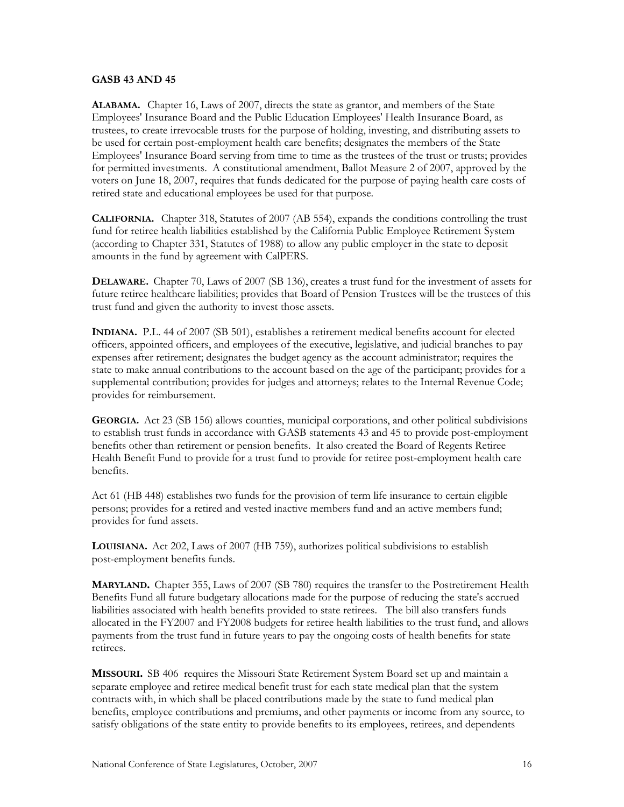#### **GASB 43 AND 45**

**ALABAMA.** Chapter 16, Laws of 2007, directs the state as grantor, and members of the State Employees' Insurance Board and the Public Education Employees' Health Insurance Board, as trustees, to create irrevocable trusts for the purpose of holding, investing, and distributing assets to be used for certain post-employment health care benefits; designates the members of the State Employees' Insurance Board serving from time to time as the trustees of the trust or trusts; provides for permitted investments. A constitutional amendment, Ballot Measure 2 of 2007, approved by the voters on June 18, 2007, requires that funds dedicated for the purpose of paying health care costs of retired state and educational employees be used for that purpose.

**CALIFORNIA.** Chapter 318, Statutes of 2007 (AB 554), expands the conditions controlling the trust fund for retiree health liabilities established by the California Public Employee Retirement System (according to Chapter 331, Statutes of 1988) to allow any public employer in the state to deposit amounts in the fund by agreement with CalPERS.

**DELAWARE.** Chapter 70, Laws of 2007 (SB 136), creates a trust fund for the investment of assets for future retiree healthcare liabilities; provides that Board of Pension Trustees will be the trustees of this trust fund and given the authority to invest those assets.

**INDIANA.** P.L. 44 of 2007 (SB 501), establishes a retirement medical benefits account for elected officers, appointed officers, and employees of the executive, legislative, and judicial branches to pay expenses after retirement; designates the budget agency as the account administrator; requires the state to make annual contributions to the account based on the age of the participant; provides for a supplemental contribution; provides for judges and attorneys; relates to the Internal Revenue Code; provides for reimbursement.

**GEORGIA.** Act 23 (SB 156) allows counties, municipal corporations, and other political subdivisions to establish trust funds in accordance with GASB statements 43 and 45 to provide post-employment benefits other than retirement or pension benefits. It also created the Board of Regents Retiree Health Benefit Fund to provide for a trust fund to provide for retiree post-employment health care benefits.

Act 61 (HB 448) establishes two funds for the provision of term life insurance to certain eligible persons; provides for a retired and vested inactive members fund and an active members fund; provides for fund assets.

**LOUISIANA.** Act 202, Laws of 2007 (HB 759), authorizes political subdivisions to establish post-employment benefits funds.

**MARYLAND.** Chapter 355, Laws of 2007 (SB 780) requires the transfer to the Postretirement Health Benefits Fund all future budgetary allocations made for the purpose of reducing the state's accrued liabilities associated with health benefits provided to state retirees. The bill also transfers funds allocated in the FY2007 and FY2008 budgets for retiree health liabilities to the trust fund, and allows payments from the trust fund in future years to pay the ongoing costs of health benefits for state retirees.

**MISSOURI.** SB 406 requires the Missouri State Retirement System Board set up and maintain a separate employee and retiree medical benefit trust for each state medical plan that the system contracts with, in which shall be placed contributions made by the state to fund medical plan benefits, employee contributions and premiums, and other payments or income from any source, to satisfy obligations of the state entity to provide benefits to its employees, retirees, and dependents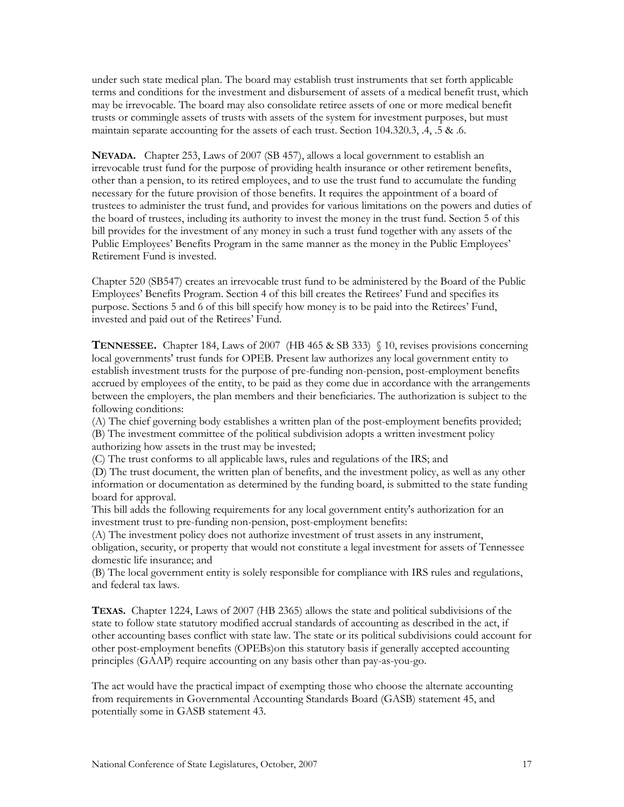under such state medical plan. The board may establish trust instruments that set forth applicable terms and conditions for the investment and disbursement of assets of a medical benefit trust, which may be irrevocable. The board may also consolidate retiree assets of one or more medical benefit trusts or commingle assets of trusts with assets of the system for investment purposes, but must maintain separate accounting for the assets of each trust. Section 104.320.3, .4, .5 & .6.

**NEVADA.** Chapter 253, Laws of 2007 (SB 457), allows a local government to establish an irrevocable trust fund for the purpose of providing health insurance or other retirement benefits, other than a pension, to its retired employees, and to use the trust fund to accumulate the funding necessary for the future provision of those benefits. It requires the appointment of a board of trustees to administer the trust fund, and provides for various limitations on the powers and duties of the board of trustees, including its authority to invest the money in the trust fund. Section 5 of this bill provides for the investment of any money in such a trust fund together with any assets of the Public Employees' Benefits Program in the same manner as the money in the Public Employees' Retirement Fund is invested.

Chapter 520 (SB547) creates an irrevocable trust fund to be administered by the Board of the Public Employees' Benefits Program. Section 4 of this bill creates the Retirees' Fund and specifies its purpose. Sections 5 and 6 of this bill specify how money is to be paid into the Retirees' Fund, invested and paid out of the Retirees' Fund.

**TENNESSEE.** Chapter 184, Laws of 2007 (HB 465 & SB 333) § 10, revises provisions concerning local governments' trust funds for OPEB. Present law authorizes any local government entity to establish investment trusts for the purpose of pre-funding non-pension, post-employment benefits accrued by employees of the entity, to be paid as they come due in accordance with the arrangements between the employers, the plan members and their beneficiaries. The authorization is subject to the following conditions:

(A) The chief governing body establishes a written plan of the post-employment benefits provided; (B) The investment committee of the political subdivision adopts a written investment policy authorizing how assets in the trust may be invested;

(C) The trust conforms to all applicable laws, rules and regulations of the IRS; and

(D) The trust document, the written plan of benefits, and the investment policy, as well as any other information or documentation as determined by the funding board, is submitted to the state funding board for approval.

This bill adds the following requirements for any local government entity's authorization for an investment trust to pre-funding non-pension, post-employment benefits:

(A) The investment policy does not authorize investment of trust assets in any instrument, obligation, security, or property that would not constitute a legal investment for assets of Tennessee domestic life insurance; and

(B) The local government entity is solely responsible for compliance with IRS rules and regulations, and federal tax laws.

**TEXAS.** Chapter 1224, Laws of 2007 (HB 2365) allows the state and political subdivisions of the state to follow state statutory modified accrual standards of accounting as described in the act, if other accounting bases conflict with state law. The state or its political subdivisions could account for other post-employment benefits (OPEBs)on this statutory basis if generally accepted accounting principles (GAAP) require accounting on any basis other than pay-as-you-go.

The act would have the practical impact of exempting those who choose the alternate accounting from requirements in Governmental Accounting Standards Board (GASB) statement 45, and potentially some in GASB statement 43.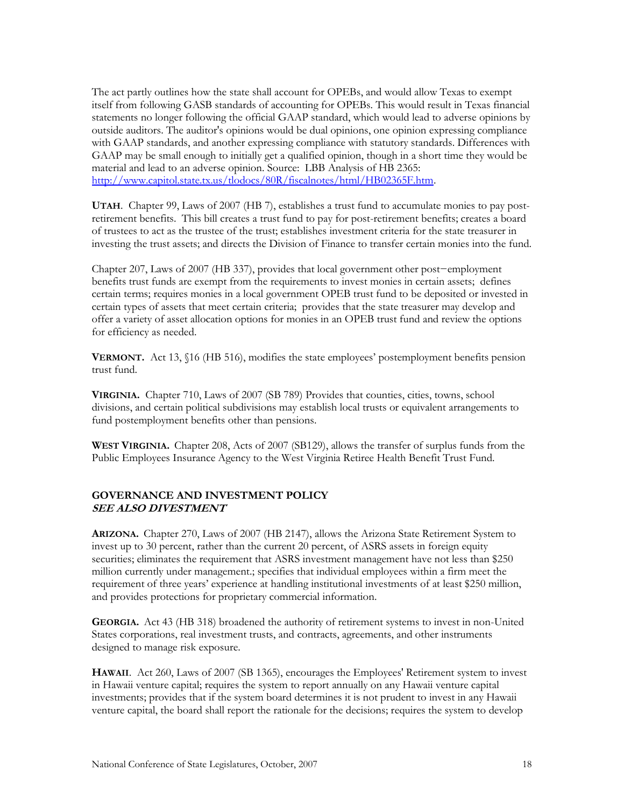The act partly outlines how the state shall account for OPEBs, and would allow Texas to exempt itself from following GASB standards of accounting for OPEBs. This would result in Texas financial statements no longer following the official GAAP standard, which would lead to adverse opinions by outside auditors. The auditor's opinions would be dual opinions, one opinion expressing compliance with GAAP standards, and another expressing compliance with statutory standards. Differences with GAAP may be small enough to initially get a qualified opinion, though in a short time they would be material and lead to an adverse opinion. Source: LBB Analysis of HB 2365: [http://www.capitol.state.tx.us/tlodocs/80R/fiscalnotes/html/HB02365F.htm.](http://www.capitol.state.tx.us/tlodocs/80R/fiscalnotes/html/HB02365F.htm)

**UTAH**. Chapter 99, Laws of 2007 (HB 7), establishes a trust fund to accumulate monies to pay postretirement benefits. This bill creates a trust fund to pay for post-retirement benefits; creates a board of trustees to act as the trustee of the trust; establishes investment criteria for the state treasurer in investing the trust assets; and directs the Division of Finance to transfer certain monies into the fund.

Chapter 207, Laws of 2007 (HB 337), provides that local government other post−employment benefits trust funds are exempt from the requirements to invest monies in certain assets; defines certain terms; requires monies in a local government OPEB trust fund to be deposited or invested in certain types of assets that meet certain criteria; provides that the state treasurer may develop and offer a variety of asset allocation options for monies in an OPEB trust fund and review the options for efficiency as needed.

**VERMONT.** Act 13, §16 (HB 516), modifies the state employees' postemployment benefits pension trust fund.

**VIRGINIA.** Chapter 710, Laws of 2007 (SB 789) Provides that counties, cities, towns, school divisions, and certain political subdivisions may establish local trusts or equivalent arrangements to fund postemployment benefits other than pensions.

**WEST VIRGINIA.** Chapter 208, Acts of 2007 (SB129), allows the transfer of surplus funds from the Public Employees Insurance Agency to the West Virginia Retiree Health Benefit Trust Fund.

#### **GOVERNANCE AND INVESTMENT POLICY SEE ALSO DIVESTMENT**

**ARIZONA.** Chapter 270, Laws of 2007 (HB 2147), allows the Arizona State Retirement System to invest up to 30 percent, rather than the current 20 percent, of ASRS assets in foreign equity securities; eliminates the requirement that ASRS investment management have not less than \$250 million currently under management.; specifies that individual employees within a firm meet the requirement of three years' experience at handling institutional investments of at least \$250 million, and provides protections for proprietary commercial information.

**GEORGIA.** Act 43 (HB 318) broadened the authority of retirement systems to invest in non-United States corporations, real investment trusts, and contracts, agreements, and other instruments designed to manage risk exposure.

**HAWAII**. Act 260, Laws of 2007 (SB 1365), encourages the Employees' Retirement system to invest in Hawaii venture capital; requires the system to report annually on any Hawaii venture capital investments; provides that if the system board determines it is not prudent to invest in any Hawaii venture capital, the board shall report the rationale for the decisions; requires the system to develop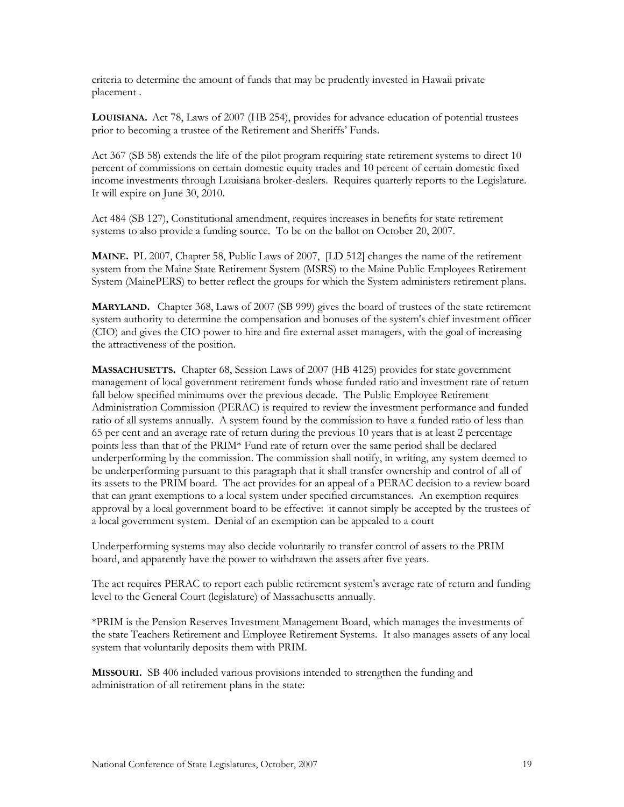criteria to determine the amount of funds that may be prudently invested in Hawaii private placement .

**LOUISIANA.** Act 78, Laws of 2007 (HB 254), provides for advance education of potential trustees prior to becoming a trustee of the Retirement and Sheriffs' Funds.

Act 367 (SB 58) extends the life of the pilot program requiring state retirement systems to direct 10 percent of commissions on certain domestic equity trades and 10 percent of certain domestic fixed income investments through Louisiana broker-dealers. Requires quarterly reports to the Legislature. It will expire on June 30, 2010.

Act 484 (SB 127), Constitutional amendment, requires increases in benefits for state retirement systems to also provide a funding source. To be on the ballot on October 20, 2007.

**MAINE.** PL 2007, Chapter 58, Public Laws of 2007, [LD 512] changes the name of the retirement system from the Maine State Retirement System (MSRS) to the Maine Public Employees Retirement System (MainePERS) to better reflect the groups for which the System administers retirement plans.

**MARYLAND.** Chapter 368, Laws of 2007 (SB 999) gives the board of trustees of the state retirement system authority to determine the compensation and bonuses of the system's chief investment officer (CIO) and gives the CIO power to hire and fire external asset managers, with the goal of increasing the attractiveness of the position.

**MASSACHUSETTS.** Chapter 68, Session Laws of 2007 (HB 4125) provides for state government management of local government retirement funds whose funded ratio and investment rate of return fall below specified minimums over the previous decade. The Public Employee Retirement Administration Commission (PERAC) is required to review the investment performance and funded ratio of all systems annually. A system found by the commission to have a funded ratio of less than 65 per cent and an average rate of return during the previous 10 years that is at least 2 percentage points less than that of the PRIM\* Fund rate of return over the same period shall be declared underperforming by the commission. The commission shall notify, in writing, any system deemed to be underperforming pursuant to this paragraph that it shall transfer ownership and control of all of its assets to the PRIM board. The act provides for an appeal of a PERAC decision to a review board that can grant exemptions to a local system under specified circumstances. An exemption requires approval by a local government board to be effective: it cannot simply be accepted by the trustees of a local government system. Denial of an exemption can be appealed to a court

Underperforming systems may also decide voluntarily to transfer control of assets to the PRIM board, and apparently have the power to withdrawn the assets after five years.

The act requires PERAC to report each public retirement system's average rate of return and funding level to the General Court (legislature) of Massachusetts annually.

\*PRIM is the Pension Reserves Investment Management Board, which manages the investments of the state Teachers Retirement and Employee Retirement Systems. It also manages assets of any local system that voluntarily deposits them with PRIM.

**MISSOURI.** SB 406 included various provisions intended to strengthen the funding and administration of all retirement plans in the state: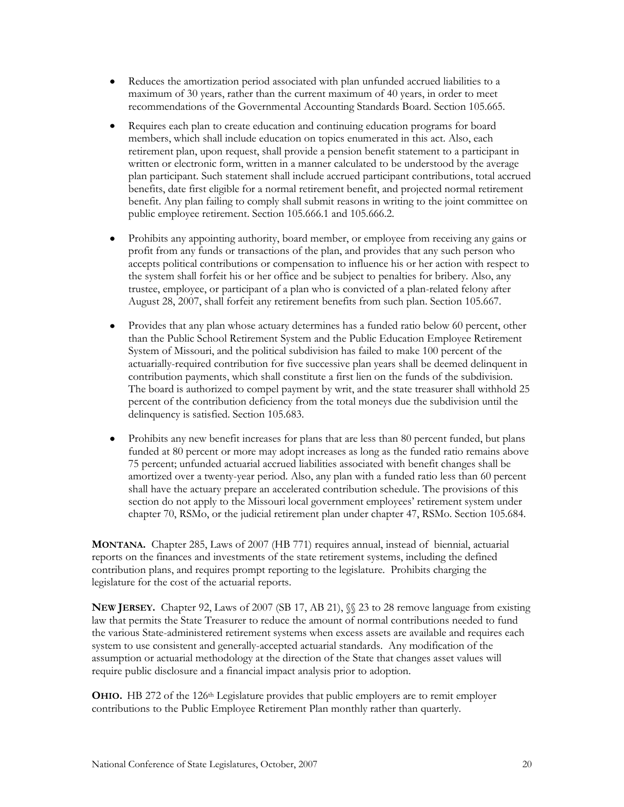- Reduces the amortization period associated with plan unfunded accrued liabilities to a  $\bullet$ maximum of 30 years, rather than the current maximum of 40 years, in order to meet recommendations of the Governmental Accounting Standards Board. Section 105.665.
- Requires each plan to create education and continuing education programs for board  $\bullet$ members, which shall include education on topics enumerated in this act. Also, each retirement plan, upon request, shall provide a pension benefit statement to a participant in written or electronic form, written in a manner calculated to be understood by the average plan participant. Such statement shall include accrued participant contributions, total accrued benefits, date first eligible for a normal retirement benefit, and projected normal retirement benefit. Any plan failing to comply shall submit reasons in writing to the joint committee on public employee retirement. Section 105.666.1 and 105.666.2.
- Prohibits any appointing authority, board member, or employee from receiving any gains or profit from any funds or transactions of the plan, and provides that any such person who accepts political contributions or compensation to influence his or her action with respect to the system shall forfeit his or her office and be subject to penalties for bribery. Also, any trustee, employee, or participant of a plan who is convicted of a plan-related felony after August 28, 2007, shall forfeit any retirement benefits from such plan. Section 105.667.
- Provides that any plan whose actuary determines has a funded ratio below 60 percent, other  $\bullet$ than the Public School Retirement System and the Public Education Employee Retirement System of Missouri, and the political subdivision has failed to make 100 percent of the actuarially-required contribution for five successive plan years shall be deemed delinquent in contribution payments, which shall constitute a first lien on the funds of the subdivision. The board is authorized to compel payment by writ, and the state treasurer shall withhold 25 percent of the contribution deficiency from the total moneys due the subdivision until the delinquency is satisfied. Section 105.683.
- Prohibits any new benefit increases for plans that are less than 80 percent funded, but plans  $\bullet$ funded at 80 percent or more may adopt increases as long as the funded ratio remains above 75 percent; unfunded actuarial accrued liabilities associated with benefit changes shall be amortized over a twenty-year period. Also, any plan with a funded ratio less than 60 percent shall have the actuary prepare an accelerated contribution schedule. The provisions of this section do not apply to the Missouri local government employees' retirement system under chapter 70, RSMo, or the judicial retirement plan under chapter 47, RSMo. Section 105.684.

**MONTANA.** Chapter 285, Laws of 2007 (HB 771) requires annual, instead of biennial, actuarial reports on the finances and investments of the state retirement systems, including the defined contribution plans, and requires prompt reporting to the legislature. Prohibits charging the legislature for the cost of the actuarial reports.

**NEW JERSEY.** Chapter 92, Laws of 2007 (SB 17, AB 21), §§ 23 to 28 remove language from existing law that permits the State Treasurer to reduce the amount of normal contributions needed to fund the various State-administered retirement systems when excess assets are available and requires each system to use consistent and generally-accepted actuarial standards. Any modification of the assumption or actuarial methodology at the direction of the State that changes asset values will require public disclosure and a financial impact analysis prior to adoption.

**OHIO**. HB 272 of the 126<sup>th</sup> Legislature provides that public employers are to remit employer contributions to the Public Employee Retirement Plan monthly rather than quarterly.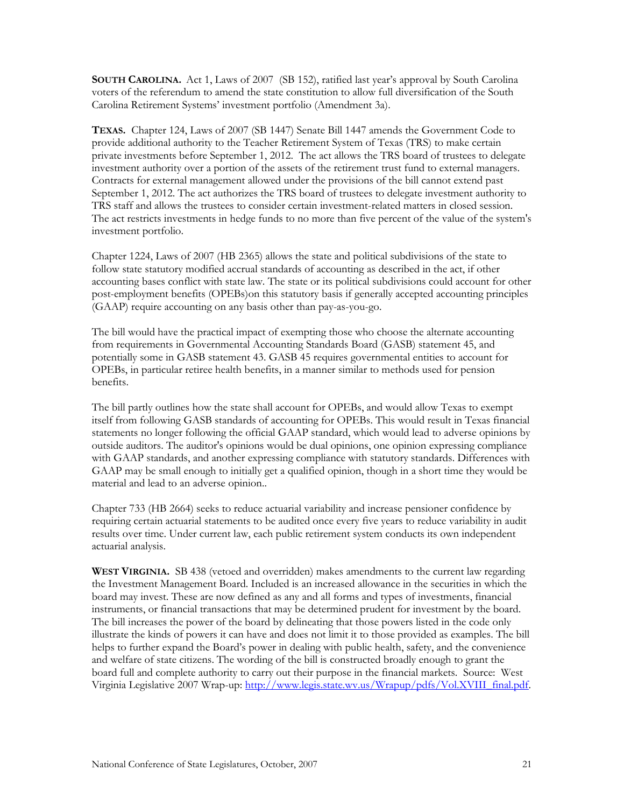**SOUTH CAROLINA.** Act 1, Laws of 2007 (SB 152), ratified last year's approval by South Carolina voters of the referendum to amend the state constitution to allow full diversification of the South Carolina Retirement Systems' investment portfolio (Amendment 3a).

**TEXAS.** Chapter 124, Laws of 2007 (SB 1447) Senate Bill 1447 amends the Government Code to provide additional authority to the Teacher Retirement System of Texas (TRS) to make certain private investments before September 1, 2012. The act allows the TRS board of trustees to delegate investment authority over a portion of the assets of the retirement trust fund to external managers. Contracts for external management allowed under the provisions of the bill cannot extend past September 1, 2012. The act authorizes the TRS board of trustees to delegate investment authority to TRS staff and allows the trustees to consider certain investment-related matters in closed session. The act restricts investments in hedge funds to no more than five percent of the value of the system's investment portfolio.

Chapter 1224, Laws of 2007 (HB 2365) allows the state and political subdivisions of the state to follow state statutory modified accrual standards of accounting as described in the act, if other accounting bases conflict with state law. The state or its political subdivisions could account for other post-employment benefits (OPEBs)on this statutory basis if generally accepted accounting principles (GAAP) require accounting on any basis other than pay-as-you-go.

The bill would have the practical impact of exempting those who choose the alternate accounting from requirements in Governmental Accounting Standards Board (GASB) statement 45, and potentially some in GASB statement 43. GASB 45 requires governmental entities to account for OPEBs, in particular retiree health benefits, in a manner similar to methods used for pension benefits.

The bill partly outlines how the state shall account for OPEBs, and would allow Texas to exempt itself from following GASB standards of accounting for OPEBs. This would result in Texas financial statements no longer following the official GAAP standard, which would lead to adverse opinions by outside auditors. The auditor's opinions would be dual opinions, one opinion expressing compliance with GAAP standards, and another expressing compliance with statutory standards. Differences with GAAP may be small enough to initially get a qualified opinion, though in a short time they would be material and lead to an adverse opinion..

Chapter 733 (HB 2664) seeks to reduce actuarial variability and increase pensioner confidence by requiring certain actuarial statements to be audited once every five years to reduce variability in audit results over time. Under current law, each public retirement system conducts its own independent actuarial analysis.

**WEST VIRGINIA.** SB 438 (vetoed and overridden) makes amendments to the current law regarding the Investment Management Board. Included is an increased allowance in the securities in which the board may invest. These are now defined as any and all forms and types of investments, financial instruments, or financial transactions that may be determined prudent for investment by the board. The bill increases the power of the board by delineating that those powers listed in the code only illustrate the kinds of powers it can have and does not limit it to those provided as examples. The bill helps to further expand the Board's power in dealing with public health, safety, and the convenience and welfare of state citizens. The wording of the bill is constructed broadly enough to grant the board full and complete authority to carry out their purpose in the financial markets. Source: West Virginia Legislative 2007 Wrap-up: [http://www.legis.state.wv.us/Wrapup/pdfs/Vol.XVIII\\_final.pdf.](http://www.legis.state.wv.us/Wrapup/pdfs/Vol.XVIII_final.pdf)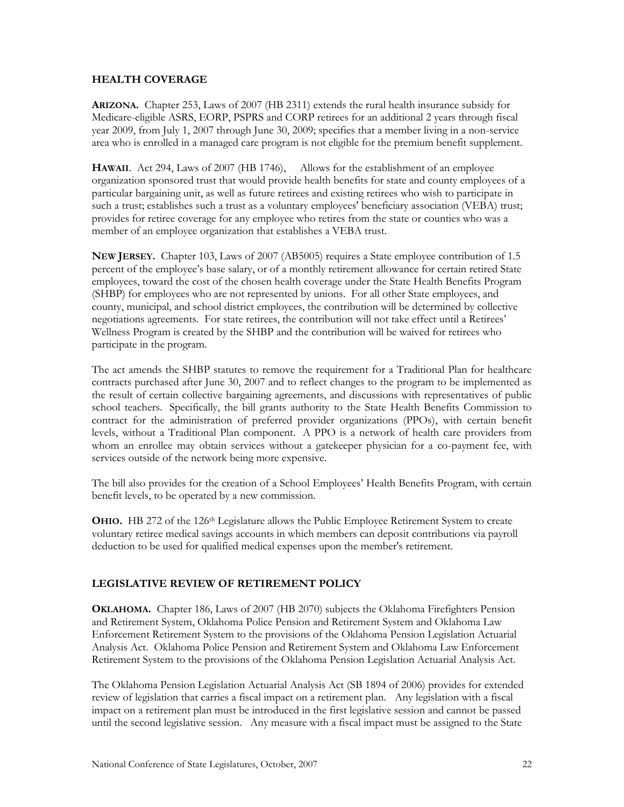#### **HEALTH COVERAGE**

**ARIZONA.** Chapter 253, Laws of 2007 (HB 2311) extends the rural health insurance subsidy for Medicare-eligible ASRS, EORP, PSPRS and CORP retirees for an additional 2 years through fiscal year 2009, from July 1, 2007 through June 30, 2009; specifies that a member living in a non-service area who is enrolled in a managed care program is not eligible for the premium benefit supplement.

**HAWAII**. Act 294, Laws of 2007 (HB 1746), Allows for the establishment of an employee organization sponsored trust that would provide health benefits for state and county employees of a particular bargaining unit, as well as future retirees and existing retirees who wish to participate in such a trust; establishes such a trust as a voluntary employees' beneficiary association (VEBA) trust; provides for retiree coverage for any employee who retires from the state or counties who was a member of an employee organization that establishes a VEBA trust.

**NEW JERSEY.** Chapter 103, Laws of 2007 (AB5005) requires a State employee contribution of 1.5 percent of the employee's base salary, or of a monthly retirement allowance for certain retired State employees, toward the cost of the chosen health coverage under the State Health Benefits Program (SHBP) for employees who are not represented by unions. For all other State employees, and county, municipal, and school district employees, the contribution will be determined by collective negotiations agreements. For state retirees, the contribution will not take effect until a Retirees' Wellness Program is created by the SHBP and the contribution will be waived for retirees who participate in the program.

The act amends the SHBP statutes to remove the requirement for a Traditional Plan for healthcare contracts purchased after June 30, 2007 and to reflect changes to the program to be implemented as the result of certain collective bargaining agreements, and discussions with representatives of public school teachers. Specifically, the bill grants authority to the State Health Benefits Commission to contract for the administration of preferred provider organizations (PPOs), with certain benefit levels, without a Traditional Plan component. A PPO is a network of health care providers from whom an enrollee may obtain services without a gatekeeper physician for a co-payment fee, with services outside of the network being more expensive.

The bill also provides for the creation of a School Employees' Health Benefits Program, with certain benefit levels, to be operated by a new commission.

**OHIO.** HB 272 of the 126th Legislature allows the Public Employee Retirement System to create voluntary retiree medical savings accounts in which members can deposit contributions via payroll deduction to be used for qualified medical expenses upon the member's retirement.

#### **LEGISLATIVE REVIEW OF RETIREMENT POLICY**

**OKLAHOMA.** Chapter 186, Laws of 2007 (HB 2070) subjects the Oklahoma Firefighters Pension and Retirement System, Oklahoma Police Pension and Retirement System and Oklahoma Law Enforcement Retirement System to the provisions of the Oklahoma Pension Legislation Actuarial Analysis Act. Oklahoma Police Pension and Retirement System and Oklahoma Law Enforcement Retirement System to the provisions of the Oklahoma Pension Legislation Actuarial Analysis Act.

The Oklahoma Pension Legislation Actuarial Analysis Act (SB 1894 of 2006) provides for extended review of legislation that carries a fiscal impact on a retirement plan. Any legislation with a fiscal impact on a retirement plan must be introduced in the first legislative session and cannot be passed until the second legislative session. Any measure with a fiscal impact must be assigned to the State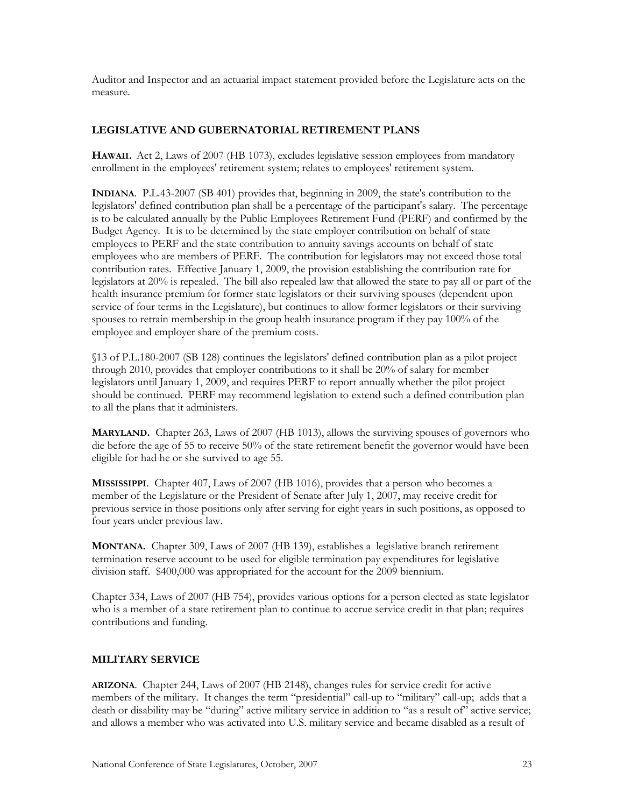Auditor and Inspector and an actuarial impact statement provided before the Legislature acts on the measure.

# **LEGISLATIVE AND GUBERNATORIAL RETIREMENT PLANS**

**HAWAII.** Act 2, Laws of 2007 (HB 1073), excludes legislative session employees from mandatory enrollment in the employees' retirement system; relates to employees' retirement system.

**INDIANA**. P.L.43-2007 (SB 401) provides that, beginning in 2009, the state's contribution to the legislators' defined contribution plan shall be a percentage of the participant's salary. The percentage is to be calculated annually by the Public Employees Retirement Fund (PERF) and confirmed by the Budget Agency. It is to be determined by the state employer contribution on behalf of state employees to PERF and the state contribution to annuity savings accounts on behalf of state employees who are members of PERF. The contribution for legislators may not exceed those total contribution rates. Effective January 1, 2009, the provision establishing the contribution rate for legislators at 20% is repealed. The bill also repealed law that allowed the state to pay all or part of the health insurance premium for former state legislators or their surviving spouses (dependent upon service of four terms in the Legislature), but continues to allow former legislators or their surviving spouses to retrain membership in the group health insurance program if they pay 100% of the employee and employer share of the premium costs.

§13 of P.L.180-2007 (SB 128) continues the legislators' defined contribution plan as a pilot project through 2010, provides that employer contributions to it shall be 20% of salary for member legislators until January 1, 2009, and requires PERF to report annually whether the pilot project should be continued. PERF may recommend legislation to extend such a defined contribution plan to all the plans that it administers.

**MARYLAND.** Chapter 263, Laws of 2007 (HB 1013), allows the surviving spouses of governors who die before the age of 55 to receive 50% of the state retirement benefit the governor would have been eligible for had he or she survived to age 55.

**MISSISSIPPI**. Chapter 407, Laws of 2007 (HB 1016), provides that a person who becomes a member of the Legislature or the President of Senate after July 1, 2007, may receive credit for previous service in those positions only after serving for eight years in such positions, as opposed to four years under previous law.

**MONTANA.** Chapter 309, Laws of 2007 (HB 139), establishes a legislative branch retirement termination reserve account to be used for eligible termination pay expenditures for legislative division staff. \$400,000 was appropriated for the account for the 2009 biennium.

Chapter 334, Laws of 2007 (HB 754), provides various options for a person elected as state legislator who is a member of a state retirement plan to continue to accrue service credit in that plan; requires contributions and funding.

#### **MILITARY SERVICE**

**ARIZONA**. Chapter 244, Laws of 2007 (HB 2148), changes rules for service credit for active members of the military. It changes the term "presidential" call-up to "military" call-up; adds that a death or disability may be "during" active military service in addition to "as a result of" active service; and allows a member who was activated into U.S. military service and became disabled as a result of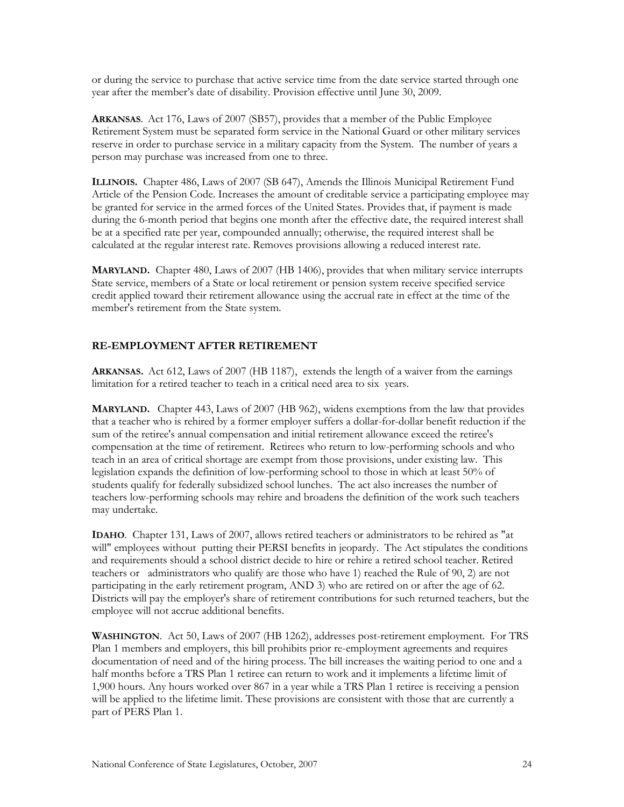or during the service to purchase that active service time from the date service started through one year after the member's date of disability. Provision effective until June 30, 2009.

**ARKANSAS**. Act 176, Laws of 2007 (SB57), provides that a member of the Public Employee Retirement System must be separated form service in the National Guard or other military services reserve in order to purchase service in a military capacity from the System. The number of years a person may purchase was increased from one to three.

**ILLINOIS.** Chapter 486, Laws of 2007 (SB 647), Amends the Illinois Municipal Retirement Fund Article of the Pension Code. Increases the amount of creditable service a participating employee may be granted for service in the armed forces of the United States. Provides that, if payment is made during the 6-month period that begins one month after the effective date, the required interest shall be at a specified rate per year, compounded annually; otherwise, the required interest shall be calculated at the regular interest rate. Removes provisions allowing a reduced interest rate.

**MARYLAND.** Chapter 480, Laws of 2007 (HB 1406), provides that when military service interrupts State service, members of a State or local retirement or pension system receive specified service credit applied toward their retirement allowance using the accrual rate in effect at the time of the member's retirement from the State system.

#### **RE-EMPLOYMENT AFTER RETIREMENT**

**ARKANSAS.** Act 612, Laws of 2007 (HB 1187), extends the length of a waiver from the earnings limitation for a retired teacher to teach in a critical need area to six years.

**MARYLAND.** Chapter 443, Laws of 2007 (HB 962), widens exemptions from the law that provides that a teacher who is rehired by a former employer suffers a dollar-for-dollar benefit reduction if the sum of the retiree's annual compensation and initial retirement allowance exceed the retiree's compensation at the time of retirement. Retirees who return to low-performing schools and who teach in an area of critical shortage are exempt from those provisions, under existing law. This legislation expands the definition of low-performing school to those in which at least 50% of students qualify for federally subsidized school lunches. The act also increases the number of teachers low-performing schools may rehire and broadens the definition of the work such teachers may undertake.

**IDAHO**. Chapter 131, Laws of 2007, allows retired teachers or administrators to be rehired as "at will" employees without putting their PERSI benefits in jeopardy. The Act stipulates the conditions and requirements should a school district decide to hire or rehire a retired school teacher. Retired teachers or administrators who qualify are those who have 1) reached the Rule of 90, 2) are not participating in the early retirement program, AND 3) who are retired on or after the age of 62. Districts will pay the employer's share of retirement contributions for such returned teachers, but the employee will not accrue additional benefits.

**WASHINGTON**. Act 50, Laws of 2007 (HB 1262), addresses post-retirement employment. For TRS Plan 1 members and employers, this bill prohibits prior re-employment agreements and requires documentation of need and of the hiring process. The bill increases the waiting period to one and a half months before a TRS Plan 1 retiree can return to work and it implements a lifetime limit of 1,900 hours. Any hours worked over 867 in a year while a TRS Plan 1 retiree is receiving a pension will be applied to the lifetime limit. These provisions are consistent with those that are currently a part of PERS Plan 1.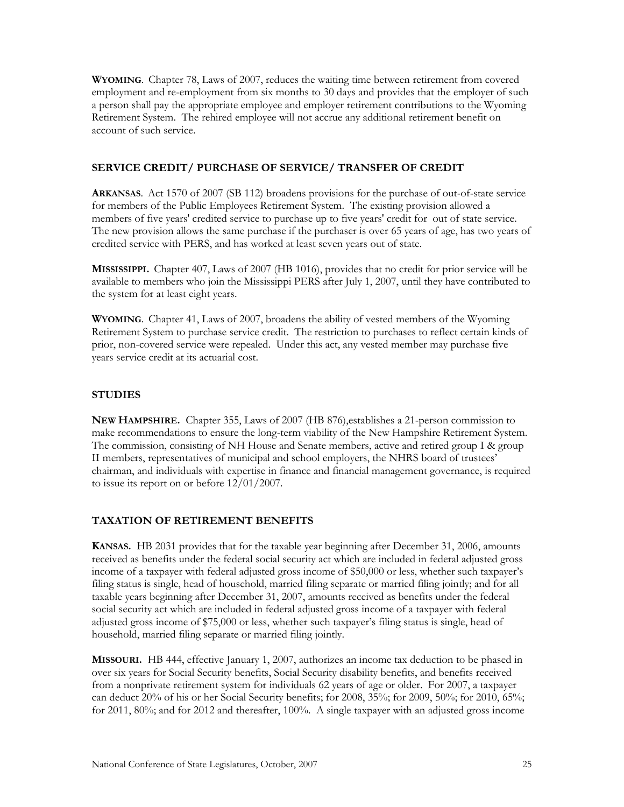**WYOMING**. Chapter 78, Laws of 2007, reduces the waiting time between retirement from covered employment and re-employment from six months to 30 days and provides that the employer of such a person shall pay the appropriate employee and employer retirement contributions to the Wyoming Retirement System. The rehired employee will not accrue any additional retirement benefit on account of such service.

### **SERVICE CREDIT/ PURCHASE OF SERVICE/ TRANSFER OF CREDIT**

**ARKANSAS**. Act 1570 of 2007 (SB 112) broadens provisions for the purchase of out-of-state service for members of the Public Employees Retirement System. The existing provision allowed a members of five years' credited service to purchase up to five years' credit for out of state service. The new provision allows the same purchase if the purchaser is over 65 years of age, has two years of credited service with PERS, and has worked at least seven years out of state.

**MISSISSIPPI.** Chapter 407, Laws of 2007 (HB 1016), provides that no credit for prior service will be available to members who join the Mississippi PERS after July 1, 2007, until they have contributed to the system for at least eight years.

**WYOMING**. Chapter 41, Laws of 2007, broadens the ability of vested members of the Wyoming Retirement System to purchase service credit. The restriction to purchases to reflect certain kinds of prior, non-covered service were repealed. Under this act, any vested member may purchase five years service credit at its actuarial cost.

# **STUDIES**

**NEW HAMPSHIRE.** Chapter 355, Laws of 2007 (HB 876),establishes a 21-person commission to make recommendations to ensure the long-term viability of the New Hampshire Retirement System. The commission, consisting of NH House and Senate members, active and retired group I & group II members, representatives of municipal and school employers, the NHRS board of trustees' chairman, and individuals with expertise in finance and financial management governance, is required to issue its report on or before 12/01/2007.

# **TAXATION OF RETIREMENT BENEFITS**

**KANSAS.** HB 2031 provides that for the taxable year beginning after December 31, 2006, amounts received as benefits under the federal social security act which are included in federal adjusted gross income of a taxpayer with federal adjusted gross income of \$50,000 or less, whether such taxpayer's filing status is single, head of household, married filing separate or married filing jointly; and for all taxable years beginning after December 31, 2007, amounts received as benefits under the federal social security act which are included in federal adjusted gross income of a taxpayer with federal adjusted gross income of \$75,000 or less, whether such taxpayer's filing status is single, head of household, married filing separate or married filing jointly.

**MISSOURI.** HB 444, effective January 1, 2007, authorizes an income tax deduction to be phased in over six years for Social Security benefits, Social Security disability benefits, and benefits received from a nonprivate retirement system for individuals 62 years of age or older. For 2007, a taxpayer can deduct 20% of his or her Social Security benefits; for 2008, 35%; for 2009, 50%; for 2010, 65%; for 2011, 80%; and for 2012 and thereafter, 100%. A single taxpayer with an adjusted gross income